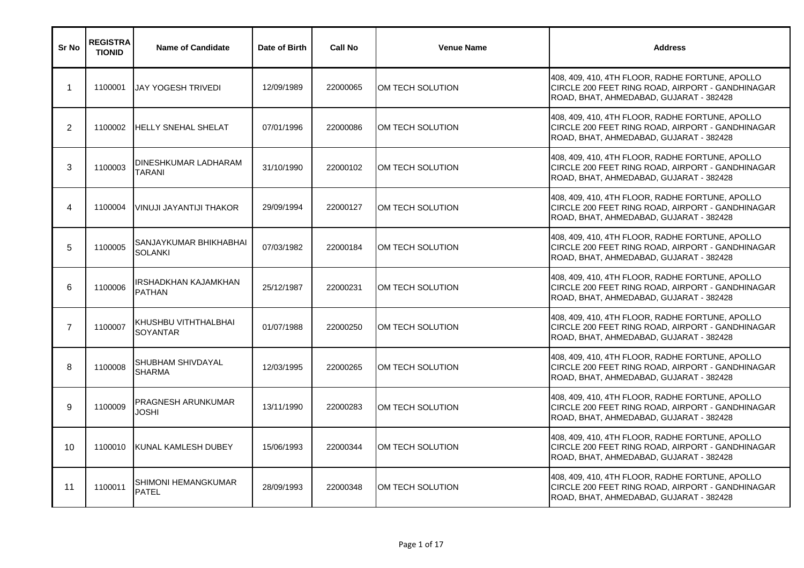| Sr No          | <b>REGISTRA</b><br><b>TIONID</b> | <b>Name of Candidate</b>                 | Date of Birth | <b>Call No</b> | <b>Venue Name</b> | <b>Address</b>                                                                                                                                 |
|----------------|----------------------------------|------------------------------------------|---------------|----------------|-------------------|------------------------------------------------------------------------------------------------------------------------------------------------|
| $\mathbf 1$    | 1100001                          | JAY YOGESH TRIVEDI                       | 12/09/1989    | 22000065       | OM TECH SOLUTION  | 408, 409, 410, 4TH FLOOR, RADHE FORTUNE, APOLLO<br>CIRCLE 200 FEET RING ROAD, AIRPORT - GANDHINAGAR<br>ROAD, BHAT, AHMEDABAD, GUJARAT - 382428 |
| $\overline{2}$ | 1100002                          | <b>HELLY SNEHAL SHELAT</b>               | 07/01/1996    | 22000086       | OM TECH SOLUTION  | 408, 409, 410, 4TH FLOOR, RADHE FORTUNE, APOLLO<br>CIRCLE 200 FEET RING ROAD, AIRPORT - GANDHINAGAR<br>ROAD, BHAT, AHMEDABAD, GUJARAT - 382428 |
| 3              | 1100003                          | DINESHKUMAR LADHARAM<br><b>TARANI</b>    | 31/10/1990    | 22000102       | OM TECH SOLUTION  | 408, 409, 410, 4TH FLOOR, RADHE FORTUNE, APOLLO<br>CIRCLE 200 FEET RING ROAD, AIRPORT - GANDHINAGAR<br>ROAD, BHAT, AHMEDABAD, GUJARAT - 382428 |
| $\overline{4}$ | 1100004                          | <b>VINUJI JAYANTIJI THAKOR</b>           | 29/09/1994    | 22000127       | OM TECH SOLUTION  | 408, 409, 410, 4TH FLOOR, RADHE FORTUNE, APOLLO<br>CIRCLE 200 FEET RING ROAD, AIRPORT - GANDHINAGAR<br>ROAD, BHAT, AHMEDABAD, GUJARAT - 382428 |
| 5              | 1100005                          | SANJAYKUMAR BHIKHABHAI<br><b>SOLANKI</b> | 07/03/1982    | 22000184       | OM TECH SOLUTION  | 408, 409, 410, 4TH FLOOR, RADHE FORTUNE, APOLLO<br>CIRCLE 200 FEET RING ROAD, AIRPORT - GANDHINAGAR<br>ROAD, BHAT, AHMEDABAD, GUJARAT - 382428 |
| 6              | 1100006                          | IRSHADKHAN KAJAMKHAN<br><b>PATHAN</b>    | 25/12/1987    | 22000231       | OM TECH SOLUTION  | 408, 409, 410, 4TH FLOOR, RADHE FORTUNE, APOLLO<br>CIRCLE 200 FEET RING ROAD, AIRPORT - GANDHINAGAR<br>ROAD, BHAT, AHMEDABAD, GUJARAT - 382428 |
| $\overline{7}$ | 1100007                          | KHUSHBU VITHTHALBHAI<br><b>SOYANTAR</b>  | 01/07/1988    | 22000250       | OM TECH SOLUTION  | 408, 409, 410, 4TH FLOOR, RADHE FORTUNE, APOLLO<br>CIRCLE 200 FEET RING ROAD, AIRPORT - GANDHINAGAR<br>ROAD, BHAT, AHMEDABAD, GUJARAT - 382428 |
| 8              | 1100008                          | SHUBHAM SHIVDAYAL<br><b>SHARMA</b>       | 12/03/1995    | 22000265       | OM TECH SOLUTION  | 408, 409, 410, 4TH FLOOR, RADHE FORTUNE, APOLLO<br>CIRCLE 200 FEET RING ROAD, AIRPORT - GANDHINAGAR<br>ROAD, BHAT, AHMEDABAD, GUJARAT - 382428 |
| 9              | 1100009                          | PRAGNESH ARUNKUMAR<br><b>JOSHI</b>       | 13/11/1990    | 22000283       | OM TECH SOLUTION  | 408, 409, 410, 4TH FLOOR, RADHE FORTUNE, APOLLO<br>CIRCLE 200 FEET RING ROAD, AIRPORT - GANDHINAGAR<br>ROAD, BHAT, AHMEDABAD, GUJARAT - 382428 |
| 10             | 1100010                          | KUNAL KAMLESH DUBEY                      | 15/06/1993    | 22000344       | OM TECH SOLUTION  | 408, 409, 410, 4TH FLOOR, RADHE FORTUNE, APOLLO<br>CIRCLE 200 FEET RING ROAD, AIRPORT - GANDHINAGAR<br>ROAD, BHAT, AHMEDABAD, GUJARAT - 382428 |
| 11             | 1100011                          | SHIMONI HEMANGKUMAR<br><b>PATEL</b>      | 28/09/1993    | 22000348       | OM TECH SOLUTION  | 408, 409, 410, 4TH FLOOR, RADHE FORTUNE, APOLLO<br>CIRCLE 200 FEET RING ROAD, AIRPORT - GANDHINAGAR<br>ROAD, BHAT, AHMEDABAD, GUJARAT - 382428 |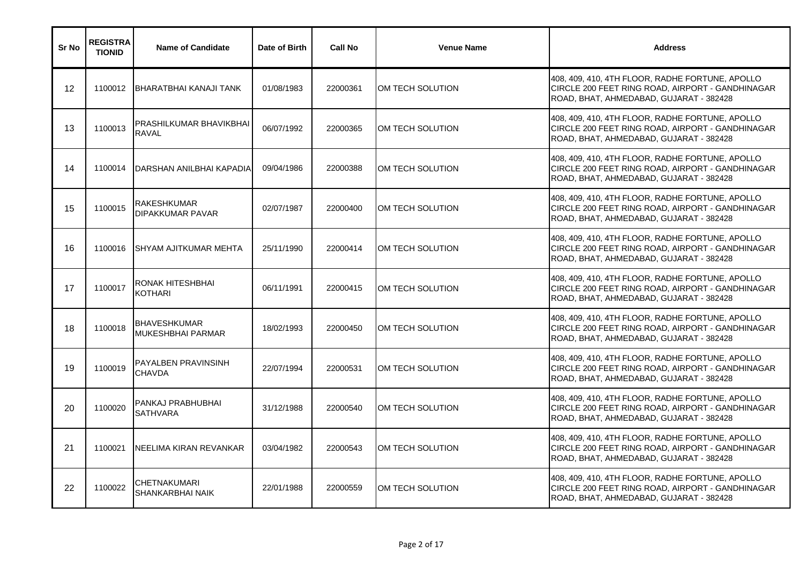| Sr No | <b>REGISTRA</b><br><b>TIONID</b> | <b>Name of Candidate</b>                 | Date of Birth | <b>Call No</b> | <b>Venue Name</b> | <b>Address</b>                                                                                                                                 |
|-------|----------------------------------|------------------------------------------|---------------|----------------|-------------------|------------------------------------------------------------------------------------------------------------------------------------------------|
| 12    | 1100012                          | IBHARATBHAI KANAJI TANK                  | 01/08/1983    | 22000361       | OM TECH SOLUTION  | 408, 409, 410, 4TH FLOOR, RADHE FORTUNE, APOLLO<br>CIRCLE 200 FEET RING ROAD, AIRPORT - GANDHINAGAR<br>ROAD, BHAT, AHMEDABAD, GUJARAT - 382428 |
| 13    | 1100013                          | PRASHILKUMAR BHAVIKBHAI<br><b>RAVAL</b>  | 06/07/1992    | 22000365       | OM TECH SOLUTION  | 408, 409, 410, 4TH FLOOR, RADHE FORTUNE, APOLLO<br>CIRCLE 200 FEET RING ROAD, AIRPORT - GANDHINAGAR<br>ROAD, BHAT, AHMEDABAD, GUJARAT - 382428 |
| 14    | 1100014                          | DARSHAN ANILBHAI KAPADIA                 | 09/04/1986    | 22000388       | OM TECH SOLUTION  | 408, 409, 410, 4TH FLOOR, RADHE FORTUNE, APOLLO<br>CIRCLE 200 FEET RING ROAD, AIRPORT - GANDHINAGAR<br>ROAD, BHAT, AHMEDABAD, GUJARAT - 382428 |
| 15    | 1100015                          | <b>RAKESHKUMAR</b><br>DIPAKKUMAR PAVAR   | 02/07/1987    | 22000400       | OM TECH SOLUTION  | 408, 409, 410, 4TH FLOOR, RADHE FORTUNE, APOLLO<br>CIRCLE 200 FEET RING ROAD, AIRPORT - GANDHINAGAR<br>ROAD, BHAT, AHMEDABAD, GUJARAT - 382428 |
| 16    | 1100016                          | <b>SHYAM AJITKUMAR MEHTA</b>             | 25/11/1990    | 22000414       | OM TECH SOLUTION  | 408, 409, 410, 4TH FLOOR, RADHE FORTUNE, APOLLO<br>CIRCLE 200 FEET RING ROAD, AIRPORT - GANDHINAGAR<br>ROAD, BHAT, AHMEDABAD, GUJARAT - 382428 |
| 17    | 1100017                          | RONAK HITESHBHAI<br><b>KOTHARI</b>       | 06/11/1991    | 22000415       | OM TECH SOLUTION  | 408, 409, 410, 4TH FLOOR, RADHE FORTUNE, APOLLO<br>CIRCLE 200 FEET RING ROAD, AIRPORT - GANDHINAGAR<br>ROAD, BHAT, AHMEDABAD, GUJARAT - 382428 |
| 18    | 1100018                          | <b>BHAVESHKUMAR</b><br>MUKESHBHAI PARMAR | 18/02/1993    | 22000450       | OM TECH SOLUTION  | 408, 409, 410, 4TH FLOOR, RADHE FORTUNE, APOLLO<br>CIRCLE 200 FEET RING ROAD, AIRPORT - GANDHINAGAR<br>ROAD, BHAT, AHMEDABAD, GUJARAT - 382428 |
| 19    | 1100019                          | PAYALBEN PRAVINSINH<br><b>CHAVDA</b>     | 22/07/1994    | 22000531       | OM TECH SOLUTION  | 408, 409, 410, 4TH FLOOR, RADHE FORTUNE, APOLLO<br>CIRCLE 200 FEET RING ROAD, AIRPORT - GANDHINAGAR<br>ROAD, BHAT, AHMEDABAD, GUJARAT - 382428 |
| 20    | 1100020                          | PANKAJ PRABHUBHAI<br><b>SATHVARA</b>     | 31/12/1988    | 22000540       | OM TECH SOLUTION  | 408, 409, 410, 4TH FLOOR, RADHE FORTUNE, APOLLO<br>CIRCLE 200 FEET RING ROAD, AIRPORT - GANDHINAGAR<br>ROAD, BHAT, AHMEDABAD, GUJARAT - 382428 |
| 21    | 1100021                          | NEELIMA KIRAN REVANKAR                   | 03/04/1982    | 22000543       | OM TECH SOLUTION  | 408, 409, 410, 4TH FLOOR, RADHE FORTUNE, APOLLO<br>CIRCLE 200 FEET RING ROAD, AIRPORT - GANDHINAGAR<br>ROAD, BHAT, AHMEDABAD, GUJARAT - 382428 |
| 22    | 1100022                          | <b>CHETNAKUMARI</b><br>SHANKARBHAI NAIK  | 22/01/1988    | 22000559       | OM TECH SOLUTION  | 408, 409, 410, 4TH FLOOR, RADHE FORTUNE, APOLLO<br>CIRCLE 200 FEET RING ROAD, AIRPORT - GANDHINAGAR<br>ROAD, BHAT, AHMEDABAD, GUJARAT - 382428 |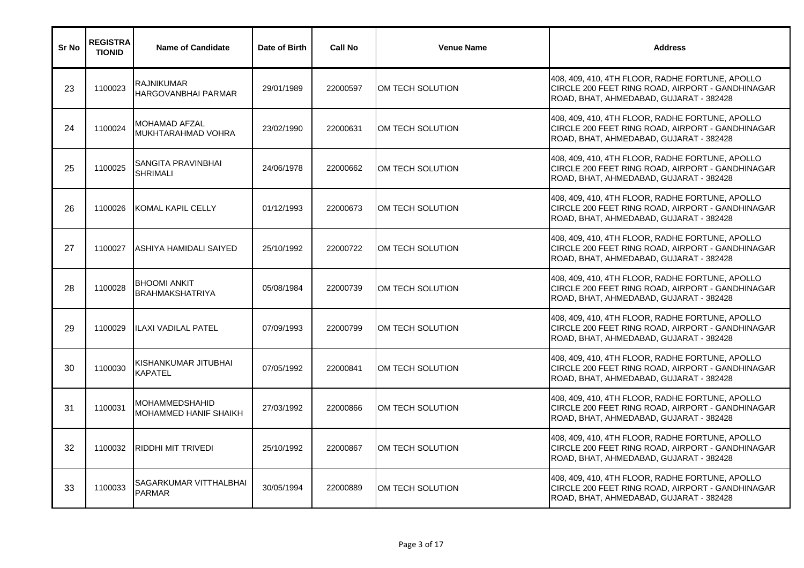| Sr No | <b>REGISTRA</b><br><b>TIONID</b> | <b>Name of Candidate</b>                              | Date of Birth | <b>Call No</b> | <b>Venue Name</b> | <b>Address</b>                                                                                                                                 |
|-------|----------------------------------|-------------------------------------------------------|---------------|----------------|-------------------|------------------------------------------------------------------------------------------------------------------------------------------------|
| 23    | 1100023                          | <b>RAJNIKUMAR</b><br><b>HARGOVANBHAI PARMAR</b>       | 29/01/1989    | 22000597       | IOM TECH SOLUTION | 408, 409, 410, 4TH FLOOR, RADHE FORTUNE, APOLLO<br>CIRCLE 200 FEET RING ROAD, AIRPORT - GANDHINAGAR<br>ROAD, BHAT, AHMEDABAD, GUJARAT - 382428 |
| 24    | 1100024                          | <b>MOHAMAD AFZAL</b><br>MUKHTARAHMAD VOHRA            | 23/02/1990    | 22000631       | OM TECH SOLUTION  | 408, 409, 410, 4TH FLOOR, RADHE FORTUNE, APOLLO<br>CIRCLE 200 FEET RING ROAD, AIRPORT - GANDHINAGAR<br>ROAD, BHAT, AHMEDABAD, GUJARAT - 382428 |
| 25    | 1100025                          | SANGITA PRAVINBHAI<br><b>SHRIMALI</b>                 | 24/06/1978    | 22000662       | OM TECH SOLUTION  | 408, 409, 410, 4TH FLOOR, RADHE FORTUNE, APOLLO<br>CIRCLE 200 FEET RING ROAD, AIRPORT - GANDHINAGAR<br>ROAD, BHAT, AHMEDABAD, GUJARAT - 382428 |
| 26    | 1100026                          | <b>KOMAL KAPIL CELLY</b>                              | 01/12/1993    | 22000673       | OM TECH SOLUTION  | 408, 409, 410, 4TH FLOOR, RADHE FORTUNE, APOLLO<br>CIRCLE 200 FEET RING ROAD, AIRPORT - GANDHINAGAR<br>ROAD, BHAT, AHMEDABAD, GUJARAT - 382428 |
| 27    | 1100027                          | ASHIYA HAMIDALI SAIYED                                | 25/10/1992    | 22000722       | OM TECH SOLUTION  | 408, 409, 410, 4TH FLOOR, RADHE FORTUNE, APOLLO<br>CIRCLE 200 FEET RING ROAD, AIRPORT - GANDHINAGAR<br>ROAD, BHAT, AHMEDABAD, GUJARAT - 382428 |
| 28    | 1100028                          | <b>BHOOMI ANKIT</b><br><b>BRAHMAKSHATRIYA</b>         | 05/08/1984    | 22000739       | OM TECH SOLUTION  | 408, 409, 410, 4TH FLOOR, RADHE FORTUNE, APOLLO<br>CIRCLE 200 FEET RING ROAD, AIRPORT - GANDHINAGAR<br>ROAD, BHAT, AHMEDABAD, GUJARAT - 382428 |
| 29    | 1100029                          | <b>ILAXI VADILAL PATEL</b>                            | 07/09/1993    | 22000799       | OM TECH SOLUTION  | 408, 409, 410, 4TH FLOOR, RADHE FORTUNE, APOLLO<br>CIRCLE 200 FEET RING ROAD, AIRPORT - GANDHINAGAR<br>ROAD, BHAT, AHMEDABAD, GUJARAT - 382428 |
| 30    | 1100030                          | IKISHANKUMAR JITUBHAI<br><b>KAPATEL</b>               | 07/05/1992    | 22000841       | OM TECH SOLUTION  | 408, 409, 410, 4TH FLOOR, RADHE FORTUNE, APOLLO<br>CIRCLE 200 FEET RING ROAD, AIRPORT - GANDHINAGAR<br>ROAD, BHAT, AHMEDABAD, GUJARAT - 382428 |
| 31    | 1100031                          | <b>MOHAMMEDSHAHID</b><br><b>MOHAMMED HANIF SHAIKH</b> | 27/03/1992    | 22000866       | OM TECH SOLUTION  | 408, 409, 410, 4TH FLOOR, RADHE FORTUNE, APOLLO<br>CIRCLE 200 FEET RING ROAD, AIRPORT - GANDHINAGAR<br>ROAD, BHAT, AHMEDABAD, GUJARAT - 382428 |
| 32    | 1100032                          | <b>RIDDHI MIT TRIVEDI</b>                             | 25/10/1992    | 22000867       | OM TECH SOLUTION  | 408, 409, 410, 4TH FLOOR, RADHE FORTUNE, APOLLO<br>CIRCLE 200 FEET RING ROAD, AIRPORT - GANDHINAGAR<br>ROAD, BHAT, AHMEDABAD, GUJARAT - 382428 |
| 33    | 1100033                          | <b>SAGARKUMAR VITTHALBHAI</b><br><b>PARMAR</b>        | 30/05/1994    | 22000889       | OM TECH SOLUTION  | 408, 409, 410, 4TH FLOOR, RADHE FORTUNE, APOLLO<br>CIRCLE 200 FEET RING ROAD, AIRPORT - GANDHINAGAR<br>ROAD, BHAT, AHMEDABAD, GUJARAT - 382428 |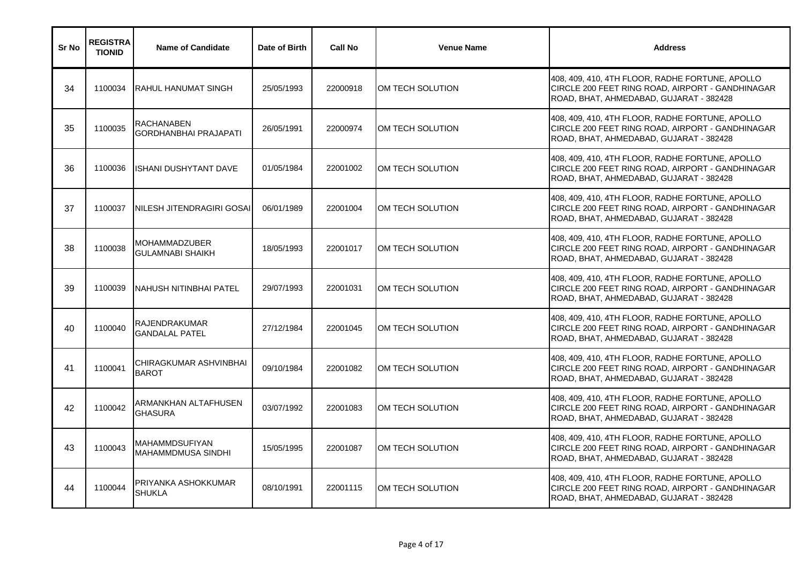| Sr No | <b>REGISTRA</b><br><b>TIONID</b> | <b>Name of Candidate</b>                           | Date of Birth | <b>Call No</b> | <b>Venue Name</b> | <b>Address</b>                                                                                                                                 |
|-------|----------------------------------|----------------------------------------------------|---------------|----------------|-------------------|------------------------------------------------------------------------------------------------------------------------------------------------|
| 34    | 1100034                          | IRAHUL HANUMAT SINGH                               | 25/05/1993    | 22000918       | IOM TECH SOLUTION | 408, 409, 410, 4TH FLOOR, RADHE FORTUNE, APOLLO<br>CIRCLE 200 FEET RING ROAD, AIRPORT - GANDHINAGAR<br>ROAD, BHAT, AHMEDABAD, GUJARAT - 382428 |
| 35    | 1100035                          | <b>RACHANABEN</b><br><b>GORDHANBHAI PRAJAPATI</b>  | 26/05/1991    | 22000974       | OM TECH SOLUTION  | 408, 409, 410, 4TH FLOOR, RADHE FORTUNE, APOLLO<br>CIRCLE 200 FEET RING ROAD, AIRPORT - GANDHINAGAR<br>ROAD, BHAT, AHMEDABAD, GUJARAT - 382428 |
| 36    | 1100036                          | <b>ISHANI DUSHYTANT DAVE</b>                       | 01/05/1984    | 22001002       | OM TECH SOLUTION  | 408, 409, 410, 4TH FLOOR, RADHE FORTUNE, APOLLO<br>CIRCLE 200 FEET RING ROAD, AIRPORT - GANDHINAGAR<br>ROAD, BHAT, AHMEDABAD, GUJARAT - 382428 |
| 37    | 1100037                          | NILESH JITENDRAGIRI GOSAI                          | 06/01/1989    | 22001004       | OM TECH SOLUTION  | 408, 409, 410, 4TH FLOOR, RADHE FORTUNE, APOLLO<br>CIRCLE 200 FEET RING ROAD, AIRPORT - GANDHINAGAR<br>ROAD, BHAT, AHMEDABAD, GUJARAT - 382428 |
| 38    | 1100038                          | <b>MOHAMMADZUBER</b><br><b>GULAMNABI SHAIKH</b>    | 18/05/1993    | 22001017       | OM TECH SOLUTION  | 408, 409, 410, 4TH FLOOR, RADHE FORTUNE, APOLLO<br>CIRCLE 200 FEET RING ROAD, AIRPORT - GANDHINAGAR<br>ROAD, BHAT, AHMEDABAD, GUJARAT - 382428 |
| 39    | 1100039                          | <b>INAHUSH NITINBHAI PATEL</b>                     | 29/07/1993    | 22001031       | OM TECH SOLUTION  | 408, 409, 410, 4TH FLOOR, RADHE FORTUNE, APOLLO<br>CIRCLE 200 FEET RING ROAD, AIRPORT - GANDHINAGAR<br>ROAD, BHAT, AHMEDABAD, GUJARAT - 382428 |
| 40    | 1100040                          | <b>RAJENDRAKUMAR</b><br><b>GANDALAL PATEL</b>      | 27/12/1984    | 22001045       | OM TECH SOLUTION  | 408, 409, 410, 4TH FLOOR, RADHE FORTUNE, APOLLO<br>CIRCLE 200 FEET RING ROAD, AIRPORT - GANDHINAGAR<br>ROAD, BHAT, AHMEDABAD, GUJARAT - 382428 |
| 41    | 1100041                          | CHIRAGKUMAR ASHVINBHAI<br><b>BAROT</b>             | 09/10/1984    | 22001082       | OM TECH SOLUTION  | 408, 409, 410, 4TH FLOOR, RADHE FORTUNE, APOLLO<br>CIRCLE 200 FEET RING ROAD, AIRPORT - GANDHINAGAR<br>ROAD, BHAT, AHMEDABAD, GUJARAT - 382428 |
| 42    | 1100042                          | ARMANKHAN ALTAFHUSEN<br><b>GHASURA</b>             | 03/07/1992    | 22001083       | OM TECH SOLUTION  | 408, 409, 410, 4TH FLOOR, RADHE FORTUNE, APOLLO<br>CIRCLE 200 FEET RING ROAD, AIRPORT - GANDHINAGAR<br>ROAD, BHAT, AHMEDABAD, GUJARAT - 382428 |
| 43    | 1100043                          | <b>MAHAMMDSUFIYAN</b><br><b>MAHAMMDMUSA SINDHI</b> | 15/05/1995    | 22001087       | OM TECH SOLUTION  | 408, 409, 410, 4TH FLOOR, RADHE FORTUNE, APOLLO<br>CIRCLE 200 FEET RING ROAD, AIRPORT - GANDHINAGAR<br>ROAD, BHAT, AHMEDABAD, GUJARAT - 382428 |
| 44    | 1100044                          | PRIYANKA ASHOKKUMAR<br><b>SHUKLA</b>               | 08/10/1991    | 22001115       | OM TECH SOLUTION  | 408, 409, 410, 4TH FLOOR, RADHE FORTUNE, APOLLO<br>CIRCLE 200 FEET RING ROAD, AIRPORT - GANDHINAGAR<br>ROAD, BHAT, AHMEDABAD, GUJARAT - 382428 |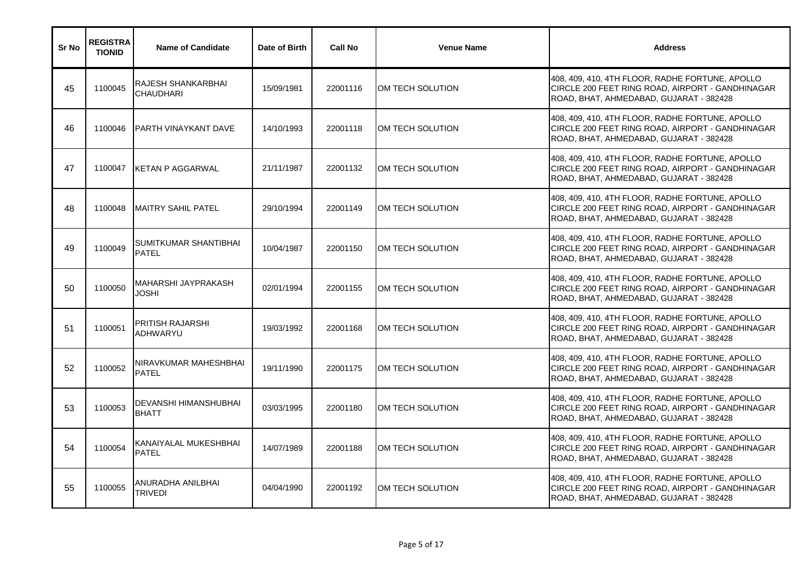| Sr No | <b>REGISTRA</b><br><b>TIONID</b> | <b>Name of Candidate</b>                     | Date of Birth | <b>Call No</b> | <b>Venue Name</b> | <b>Address</b>                                                                                                                                 |
|-------|----------------------------------|----------------------------------------------|---------------|----------------|-------------------|------------------------------------------------------------------------------------------------------------------------------------------------|
| 45    | 1100045                          | RAJESH SHANKARBHAI<br><b>CHAUDHARI</b>       | 15/09/1981    | 22001116       | OM TECH SOLUTION  | 408, 409, 410, 4TH FLOOR, RADHE FORTUNE, APOLLO<br>CIRCLE 200 FEET RING ROAD, AIRPORT - GANDHINAGAR<br>ROAD, BHAT, AHMEDABAD, GUJARAT - 382428 |
| 46    | 1100046                          | <b>PARTH VINAYKANT DAVE</b>                  | 14/10/1993    | 22001118       | OM TECH SOLUTION  | 408, 409, 410, 4TH FLOOR, RADHE FORTUNE, APOLLO<br>CIRCLE 200 FEET RING ROAD, AIRPORT - GANDHINAGAR<br>ROAD, BHAT, AHMEDABAD, GUJARAT - 382428 |
| 47    | 1100047                          | <b>KETAN P AGGARWAL</b>                      | 21/11/1987    | 22001132       | OM TECH SOLUTION  | 408, 409, 410, 4TH FLOOR, RADHE FORTUNE, APOLLO<br>CIRCLE 200 FEET RING ROAD, AIRPORT - GANDHINAGAR<br>ROAD, BHAT, AHMEDABAD, GUJARAT - 382428 |
| 48    | 1100048                          | IMAITRY SAHIL PATEL                          | 29/10/1994    | 22001149       | OM TECH SOLUTION  | 408, 409, 410, 4TH FLOOR, RADHE FORTUNE, APOLLO<br>CIRCLE 200 FEET RING ROAD, AIRPORT - GANDHINAGAR<br>ROAD, BHAT, AHMEDABAD, GUJARAT - 382428 |
| 49    | 1100049                          | <b>SUMITKUMAR SHANTIBHAI</b><br><b>PATEL</b> | 10/04/1987    | 22001150       | OM TECH SOLUTION  | 408, 409, 410, 4TH FLOOR, RADHE FORTUNE, APOLLO<br>CIRCLE 200 FEET RING ROAD, AIRPORT - GANDHINAGAR<br>ROAD, BHAT, AHMEDABAD, GUJARAT - 382428 |
| 50    | 1100050                          | MAHARSHI JAYPRAKASH<br>JOSHI                 | 02/01/1994    | 22001155       | OM TECH SOLUTION  | 408, 409, 410, 4TH FLOOR, RADHE FORTUNE, APOLLO<br>CIRCLE 200 FEET RING ROAD, AIRPORT - GANDHINAGAR<br>ROAD, BHAT, AHMEDABAD, GUJARAT - 382428 |
| 51    | 1100051                          | <b>PRITISH RAJARSHI</b><br><b>ADHWARYU</b>   | 19/03/1992    | 22001168       | OM TECH SOLUTION  | 408, 409, 410, 4TH FLOOR, RADHE FORTUNE, APOLLO<br>CIRCLE 200 FEET RING ROAD, AIRPORT - GANDHINAGAR<br>ROAD, BHAT, AHMEDABAD, GUJARAT - 382428 |
| 52    | 1100052                          | NIRAVKUMAR MAHESHBHAI<br><b>PATEL</b>        | 19/11/1990    | 22001175       | OM TECH SOLUTION  | 408, 409, 410, 4TH FLOOR, RADHE FORTUNE, APOLLO<br>CIRCLE 200 FEET RING ROAD, AIRPORT - GANDHINAGAR<br>ROAD, BHAT, AHMEDABAD, GUJARAT - 382428 |
| 53    | 1100053                          | DEVANSHI HIMANSHUBHAI<br><b>BHATT</b>        | 03/03/1995    | 22001180       | OM TECH SOLUTION  | 408, 409, 410, 4TH FLOOR, RADHE FORTUNE, APOLLO<br>CIRCLE 200 FEET RING ROAD, AIRPORT - GANDHINAGAR<br>ROAD, BHAT, AHMEDABAD, GUJARAT - 382428 |
| 54    | 1100054                          | KANAIYALAL MUKESHBHAI<br><b>PATEL</b>        | 14/07/1989    | 22001188       | OM TECH SOLUTION  | 408, 409, 410, 4TH FLOOR, RADHE FORTUNE, APOLLO<br>CIRCLE 200 FEET RING ROAD, AIRPORT - GANDHINAGAR<br>ROAD, BHAT, AHMEDABAD, GUJARAT - 382428 |
| 55    | 1100055                          | ANURADHA ANILBHAI<br>TRIVEDI                 | 04/04/1990    | 22001192       | OM TECH SOLUTION  | 408, 409, 410, 4TH FLOOR, RADHE FORTUNE, APOLLO<br>CIRCLE 200 FEET RING ROAD, AIRPORT - GANDHINAGAR<br>ROAD, BHAT, AHMEDABAD, GUJARAT - 382428 |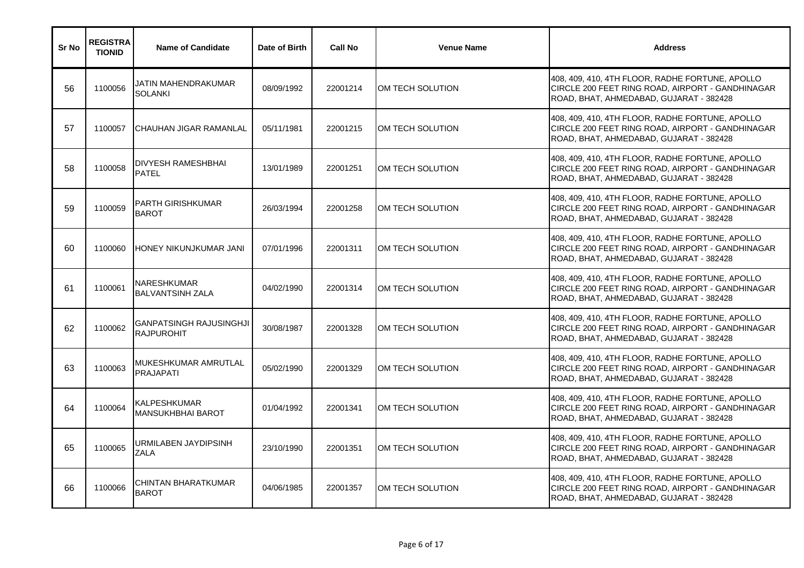| Sr No | <b>REGISTRA</b><br><b>TIONID</b> | <b>Name of Candidate</b>                            | Date of Birth | <b>Call No</b> | <b>Venue Name</b> | <b>Address</b>                                                                                                                                 |
|-------|----------------------------------|-----------------------------------------------------|---------------|----------------|-------------------|------------------------------------------------------------------------------------------------------------------------------------------------|
| 56    | 1100056                          | JATIN MAHENDRAKUMAR<br><b>SOLANKI</b>               | 08/09/1992    | 22001214       | OM TECH SOLUTION  | 408, 409, 410, 4TH FLOOR, RADHE FORTUNE, APOLLO<br>CIRCLE 200 FEET RING ROAD, AIRPORT - GANDHINAGAR<br>ROAD, BHAT, AHMEDABAD, GUJARAT - 382428 |
| 57    | 1100057                          | CHAUHAN JIGAR RAMANLAL                              | 05/11/1981    | 22001215       | OM TECH SOLUTION  | 408, 409, 410, 4TH FLOOR, RADHE FORTUNE, APOLLO<br>CIRCLE 200 FEET RING ROAD, AIRPORT - GANDHINAGAR<br>ROAD, BHAT, AHMEDABAD, GUJARAT - 382428 |
| 58    | 1100058                          | DIVYESH RAMESHBHAI<br><b>PATEL</b>                  | 13/01/1989    | 22001251       | OM TECH SOLUTION  | 408, 409, 410, 4TH FLOOR, RADHE FORTUNE, APOLLO<br>CIRCLE 200 FEET RING ROAD, AIRPORT - GANDHINAGAR<br>ROAD, BHAT, AHMEDABAD, GUJARAT - 382428 |
| 59    | 1100059                          | PARTH GIRISHKUMAR<br><b>BAROT</b>                   | 26/03/1994    | 22001258       | OM TECH SOLUTION  | 408, 409, 410, 4TH FLOOR, RADHE FORTUNE, APOLLO<br>CIRCLE 200 FEET RING ROAD, AIRPORT - GANDHINAGAR<br>ROAD, BHAT, AHMEDABAD, GUJARAT - 382428 |
| 60    | 1100060                          | HONEY NIKUNJKUMAR JANI                              | 07/01/1996    | 22001311       | OM TECH SOLUTION  | 408, 409, 410, 4TH FLOOR, RADHE FORTUNE, APOLLO<br>CIRCLE 200 FEET RING ROAD, AIRPORT - GANDHINAGAR<br>ROAD, BHAT, AHMEDABAD, GUJARAT - 382428 |
| 61    | 1100061                          | <b>NARESHKUMAR</b><br><b>BALVANTSINH ZALA</b>       | 04/02/1990    | 22001314       | OM TECH SOLUTION  | 408, 409, 410, 4TH FLOOR, RADHE FORTUNE, APOLLO<br>CIRCLE 200 FEET RING ROAD, AIRPORT - GANDHINAGAR<br>ROAD, BHAT, AHMEDABAD, GUJARAT - 382428 |
| 62    | 1100062                          | <b>GANPATSINGH RAJUSINGHJI</b><br><b>RAJPUROHIT</b> | 30/08/1987    | 22001328       | OM TECH SOLUTION  | 408, 409, 410, 4TH FLOOR, RADHE FORTUNE, APOLLO<br>CIRCLE 200 FEET RING ROAD, AIRPORT - GANDHINAGAR<br>ROAD, BHAT, AHMEDABAD, GUJARAT - 382428 |
| 63    | 1100063                          | MUKESHKUMAR AMRUTLAL<br><b>PRAJAPATI</b>            | 05/02/1990    | 22001329       | OM TECH SOLUTION  | 408, 409, 410, 4TH FLOOR, RADHE FORTUNE, APOLLO<br>CIRCLE 200 FEET RING ROAD, AIRPORT - GANDHINAGAR<br>ROAD, BHAT, AHMEDABAD, GUJARAT - 382428 |
| 64    | 1100064                          | KALPESHKUMAR<br>MANSUKHBHAI BAROT                   | 01/04/1992    | 22001341       | OM TECH SOLUTION  | 408, 409, 410, 4TH FLOOR, RADHE FORTUNE, APOLLO<br>CIRCLE 200 FEET RING ROAD, AIRPORT - GANDHINAGAR<br>ROAD, BHAT, AHMEDABAD, GUJARAT - 382428 |
| 65    | 1100065                          | URMILABEN JAYDIPSINH<br>ZALA                        | 23/10/1990    | 22001351       | OM TECH SOLUTION  | 408, 409, 410, 4TH FLOOR, RADHE FORTUNE, APOLLO<br>CIRCLE 200 FEET RING ROAD, AIRPORT - GANDHINAGAR<br>ROAD, BHAT, AHMEDABAD, GUJARAT - 382428 |
| 66    | 1100066                          | CHINTAN BHARATKUMAR<br><b>BAROT</b>                 | 04/06/1985    | 22001357       | OM TECH SOLUTION  | 408, 409, 410, 4TH FLOOR, RADHE FORTUNE, APOLLO<br>CIRCLE 200 FEET RING ROAD, AIRPORT - GANDHINAGAR<br>ROAD, BHAT, AHMEDABAD, GUJARAT - 382428 |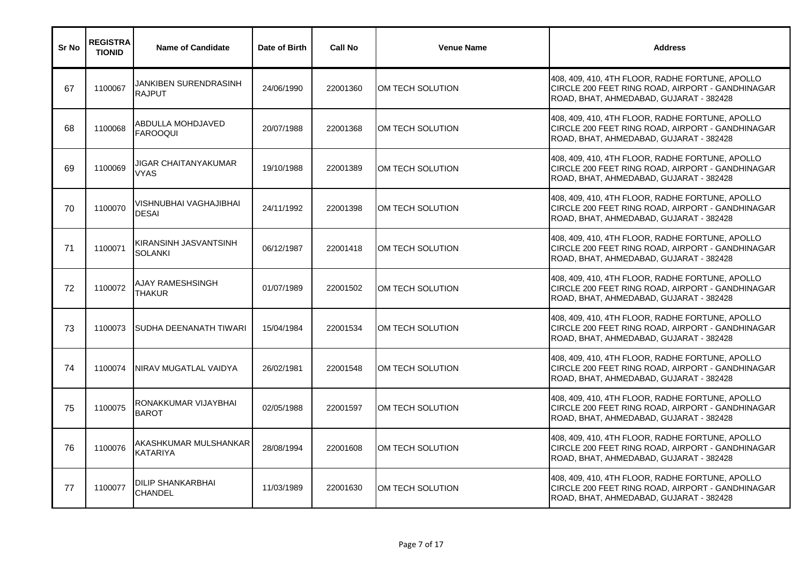| Sr No | <b>REGISTRA</b><br><b>TIONID</b> | <b>Name of Candidate</b>                      | Date of Birth | <b>Call No</b> | <b>Venue Name</b> | <b>Address</b>                                                                                                                                 |
|-------|----------------------------------|-----------------------------------------------|---------------|----------------|-------------------|------------------------------------------------------------------------------------------------------------------------------------------------|
| 67    | 1100067                          | <b>JANKIBEN SURENDRASINH</b><br><b>RAJPUT</b> | 24/06/1990    | 22001360       | OM TECH SOLUTION  | 408, 409, 410, 4TH FLOOR, RADHE FORTUNE, APOLLO<br>CIRCLE 200 FEET RING ROAD, AIRPORT - GANDHINAGAR<br>ROAD, BHAT, AHMEDABAD, GUJARAT - 382428 |
| 68    | 1100068                          | ABDULLA MOHDJAVED<br><b>FAROOQUI</b>          | 20/07/1988    | 22001368       | OM TECH SOLUTION  | 408, 409, 410, 4TH FLOOR, RADHE FORTUNE, APOLLO<br>CIRCLE 200 FEET RING ROAD, AIRPORT - GANDHINAGAR<br>ROAD, BHAT, AHMEDABAD, GUJARAT - 382428 |
| 69    | 1100069                          | JIGAR CHAITANYAKUMAR<br>VYAS                  | 19/10/1988    | 22001389       | OM TECH SOLUTION  | 408, 409, 410, 4TH FLOOR, RADHE FORTUNE, APOLLO<br>CIRCLE 200 FEET RING ROAD, AIRPORT - GANDHINAGAR<br>ROAD, BHAT, AHMEDABAD, GUJARAT - 382428 |
| 70    | 1100070                          | VISHNUBHAI VAGHAJIBHAI<br><b>DESAI</b>        | 24/11/1992    | 22001398       | OM TECH SOLUTION  | 408, 409, 410, 4TH FLOOR, RADHE FORTUNE, APOLLO<br>CIRCLE 200 FEET RING ROAD, AIRPORT - GANDHINAGAR<br>ROAD, BHAT, AHMEDABAD, GUJARAT - 382428 |
| 71    | 1100071                          | KIRANSINH JASVANTSINH<br><b>SOLANKI</b>       | 06/12/1987    | 22001418       | OM TECH SOLUTION  | 408, 409, 410, 4TH FLOOR, RADHE FORTUNE, APOLLO<br>CIRCLE 200 FEET RING ROAD, AIRPORT - GANDHINAGAR<br>ROAD, BHAT, AHMEDABAD, GUJARAT - 382428 |
| 72    | 1100072                          | AJAY RAMESHSINGH<br><b>THAKUR</b>             | 01/07/1989    | 22001502       | OM TECH SOLUTION  | 408, 409, 410, 4TH FLOOR, RADHE FORTUNE, APOLLO<br>CIRCLE 200 FEET RING ROAD, AIRPORT - GANDHINAGAR<br>ROAD, BHAT, AHMEDABAD, GUJARAT - 382428 |
| 73    | 1100073                          | SUDHA DEENANATH TIWARI                        | 15/04/1984    | 22001534       | OM TECH SOLUTION  | 408, 409, 410, 4TH FLOOR, RADHE FORTUNE, APOLLO<br>CIRCLE 200 FEET RING ROAD, AIRPORT - GANDHINAGAR<br>ROAD, BHAT, AHMEDABAD, GUJARAT - 382428 |
| 74    | 1100074                          | NIRAV MUGATLAL VAIDYA                         | 26/02/1981    | 22001548       | OM TECH SOLUTION  | 408, 409, 410, 4TH FLOOR, RADHE FORTUNE, APOLLO<br>CIRCLE 200 FEET RING ROAD, AIRPORT - GANDHINAGAR<br>ROAD, BHAT, AHMEDABAD, GUJARAT - 382428 |
| 75    | 1100075                          | RONAKKUMAR VIJAYBHAI<br><b>BAROT</b>          | 02/05/1988    | 22001597       | OM TECH SOLUTION  | 408, 409, 410, 4TH FLOOR, RADHE FORTUNE, APOLLO<br>CIRCLE 200 FEET RING ROAD, AIRPORT - GANDHINAGAR<br>ROAD, BHAT, AHMEDABAD, GUJARAT - 382428 |
| 76    | 1100076                          | AKASHKUMAR MULSHANKAR<br><b>KATARIYA</b>      | 28/08/1994    | 22001608       | OM TECH SOLUTION  | 408, 409, 410, 4TH FLOOR, RADHE FORTUNE, APOLLO<br>CIRCLE 200 FEET RING ROAD, AIRPORT - GANDHINAGAR<br>ROAD, BHAT, AHMEDABAD, GUJARAT - 382428 |
| 77    | 1100077                          | <b>DILIP SHANKARBHAI</b><br><b>CHANDEL</b>    | 11/03/1989    | 22001630       | OM TECH SOLUTION  | 408, 409, 410, 4TH FLOOR, RADHE FORTUNE, APOLLO<br>CIRCLE 200 FEET RING ROAD, AIRPORT - GANDHINAGAR<br>ROAD, BHAT, AHMEDABAD, GUJARAT - 382428 |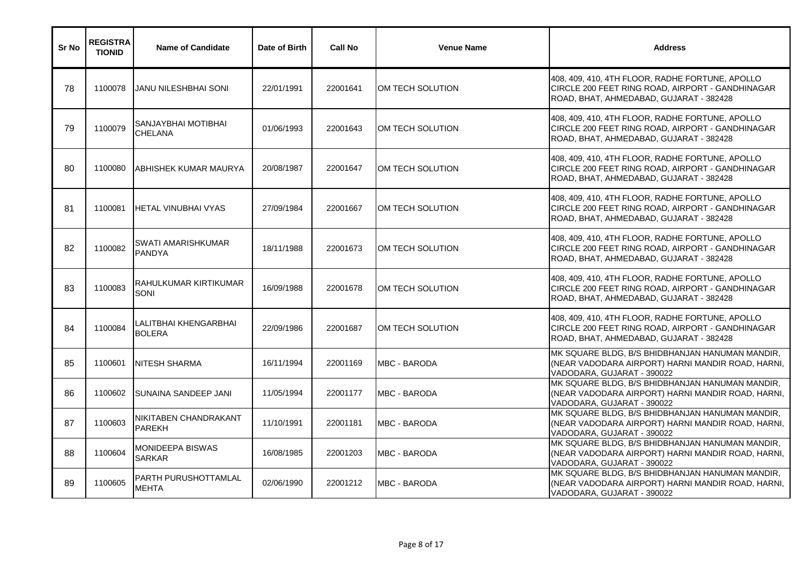| Sr No | <b>REGISTRA</b><br><b>TIONID</b> | <b>Name of Candidate</b>               | Date of Birth | <b>Call No</b> | <b>Venue Name</b>   | <b>Address</b>                                                                                                                                 |
|-------|----------------------------------|----------------------------------------|---------------|----------------|---------------------|------------------------------------------------------------------------------------------------------------------------------------------------|
| 78    | 1100078                          | JANU NILESHBHAI SONI                   | 22/01/1991    | 22001641       | OM TECH SOLUTION    | 408, 409, 410, 4TH FLOOR, RADHE FORTUNE, APOLLO<br>CIRCLE 200 FEET RING ROAD, AIRPORT - GANDHINAGAR<br>ROAD, BHAT, AHMEDABAD, GUJARAT - 382428 |
| 79    | 1100079                          | SANJAYBHAI MOTIBHAI<br><b>CHELANA</b>  | 01/06/1993    | 22001643       | OM TECH SOLUTION    | 408, 409, 410, 4TH FLOOR, RADHE FORTUNE, APOLLO<br>CIRCLE 200 FEET RING ROAD, AIRPORT - GANDHINAGAR<br>ROAD, BHAT, AHMEDABAD, GUJARAT - 382428 |
| 80    | 1100080                          | ABHISHEK KUMAR MAURYA                  | 20/08/1987    | 22001647       | OM TECH SOLUTION    | 408, 409, 410, 4TH FLOOR, RADHE FORTUNE, APOLLO<br>CIRCLE 200 FEET RING ROAD, AIRPORT - GANDHINAGAR<br>ROAD, BHAT, AHMEDABAD, GUJARAT - 382428 |
| 81    | 1100081                          | HETAL VINUBHAI VYAS                    | 27/09/1984    | 22001667       | OM TECH SOLUTION    | 408, 409, 410, 4TH FLOOR, RADHE FORTUNE, APOLLO<br>CIRCLE 200 FEET RING ROAD, AIRPORT - GANDHINAGAR<br>ROAD, BHAT, AHMEDABAD, GUJARAT - 382428 |
| 82    | 1100082                          | SWATI AMARISHKUMAR<br><b>PANDYA</b>    | 18/11/1988    | 22001673       | OM TECH SOLUTION    | 408, 409, 410, 4TH FLOOR, RADHE FORTUNE, APOLLO<br>CIRCLE 200 FEET RING ROAD, AIRPORT - GANDHINAGAR<br>ROAD, BHAT, AHMEDABAD, GUJARAT - 382428 |
| 83    | 1100083                          | RAHULKUMAR KIRTIKUMAR<br>SONI          | 16/09/1988    | 22001678       | OM TECH SOLUTION    | 408, 409, 410, 4TH FLOOR, RADHE FORTUNE, APOLLO<br>CIRCLE 200 FEET RING ROAD, AIRPORT - GANDHINAGAR<br>ROAD, BHAT, AHMEDABAD, GUJARAT - 382428 |
| 84    | 1100084                          | LALITBHAI KHENGARBHAI<br><b>BOLERA</b> | 22/09/1986    | 22001687       | OM TECH SOLUTION    | 408, 409, 410, 4TH FLOOR, RADHE FORTUNE, APOLLO<br>CIRCLE 200 FEET RING ROAD, AIRPORT - GANDHINAGAR<br>ROAD, BHAT, AHMEDABAD, GUJARAT - 382428 |
| 85    | 1100601                          | <b>INITESH SHARMA</b>                  | 16/11/1994    | 22001169       | MBC - BARODA        | MK SQUARE BLDG, B/S BHIDBHANJAN HANUMAN MANDIR,<br>(NEAR VADODARA AIRPORT) HARNI MANDIR ROAD, HARNI,<br>VADODARA, GUJARAT - 390022             |
| 86    | 1100602                          | <b>SUNAINA SANDEEP JANI</b>            | 11/05/1994    | 22001177       | MBC - BARODA        | MK SQUARE BLDG, B/S BHIDBHANJAN HANUMAN MANDIR,<br>(NEAR VADODARA AIRPORT) HARNI MANDIR ROAD, HARNI,<br>VADODARA, GUJARAT - 390022             |
| 87    | 1100603                          | NIKITABEN CHANDRAKANT<br><b>PAREKH</b> | 11/10/1991    | 22001181       | MBC - BARODA        | MK SQUARE BLDG, B/S BHIDBHANJAN HANUMAN MANDIR,<br>(NEAR VADODARA AIRPORT) HARNI MANDIR ROAD, HARNI,<br>VADODARA, GUJARAT - 390022             |
| 88    | 1100604                          | MONIDEEPA BISWAS<br><b>SARKAR</b>      | 16/08/1985    | 22001203       | <b>MBC - BARODA</b> | MK SQUARE BLDG, B/S BHIDBHANJAN HANUMAN MANDIR,<br>(NEAR VADODARA AIRPORT) HARNI MANDIR ROAD, HARNI,<br>VADODARA, GUJARAT - 390022             |
| 89    | 1100605                          | PARTH PURUSHOTTAMLAL<br>MEHTA          | 02/06/1990    | 22001212       | MBC - BARODA        | MK SQUARE BLDG, B/S BHIDBHANJAN HANUMAN MANDIR,<br>(NEAR VADODARA AIRPORT) HARNI MANDIR ROAD, HARNI,<br>VADODARA, GUJARAT - 390022             |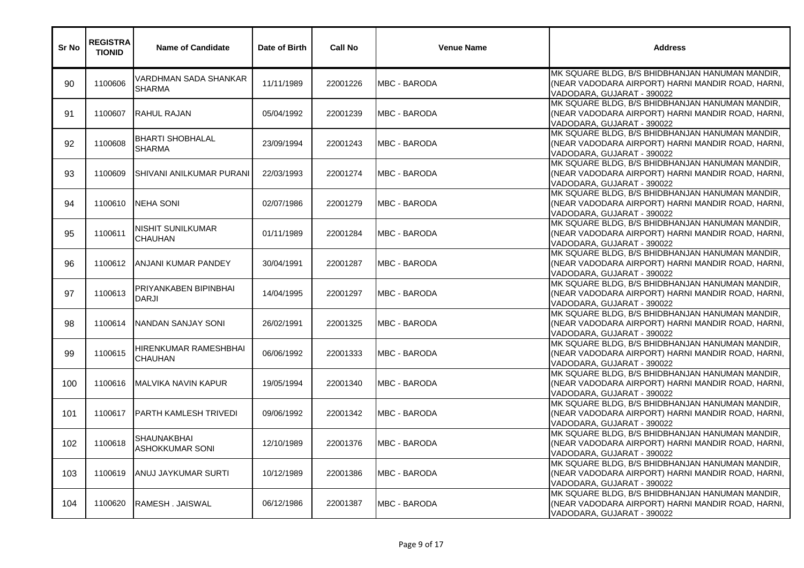| Sr No | <b>REGISTRA</b><br><b>TIONID</b> | <b>Name of Candidate</b>                     | Date of Birth | <b>Call No</b> | <b>Venue Name</b>    | <b>Address</b>                                                                                                                     |
|-------|----------------------------------|----------------------------------------------|---------------|----------------|----------------------|------------------------------------------------------------------------------------------------------------------------------------|
| 90    | 1100606                          | VARDHMAN SADA SHANKAR<br><b>SHARMA</b>       | 11/11/1989    | 22001226       | <b>MBC - BARODA</b>  | MK SQUARE BLDG, B/S BHIDBHANJAN HANUMAN MANDIR,<br>(NEAR VADODARA AIRPORT) HARNI MANDIR ROAD, HARNI,<br>VADODARA, GUJARAT - 390022 |
| 91    | 1100607                          | RAHUL RAJAN                                  | 05/04/1992    | 22001239       | <b>MBC - BARODA</b>  | MK SQUARE BLDG, B/S BHIDBHANJAN HANUMAN MANDIR,<br>(NEAR VADODARA AIRPORT) HARNI MANDIR ROAD, HARNI,<br>VADODARA, GUJARAT - 390022 |
| 92    | 1100608                          | <b>BHARTI SHOBHALAL</b><br><b>SHARMA</b>     | 23/09/1994    | 22001243       | <b>MBC - BARODA</b>  | MK SQUARE BLDG, B/S BHIDBHANJAN HANUMAN MANDIR,<br>(NEAR VADODARA AIRPORT) HARNI MANDIR ROAD, HARNI,<br>VADODARA, GUJARAT - 390022 |
| 93    | 1100609                          | SHIVANI ANILKUMAR PURANI                     | 22/03/1993    | 22001274       | <b>IMBC - BARODA</b> | MK SQUARE BLDG, B/S BHIDBHANJAN HANUMAN MANDIR,<br>(NEAR VADODARA AIRPORT) HARNI MANDIR ROAD, HARNI,<br>VADODARA, GUJARAT - 390022 |
| 94    | 1100610                          | <b>NEHA SONI</b>                             | 02/07/1986    | 22001279       | <b>MBC - BARODA</b>  | MK SQUARE BLDG, B/S BHIDBHANJAN HANUMAN MANDIR,<br>(NEAR VADODARA AIRPORT) HARNI MANDIR ROAD, HARNI,<br>VADODARA, GUJARAT - 390022 |
| 95    | 1100611                          | NISHIT SUNILKUMAR<br><b>CHAUHAN</b>          | 01/11/1989    | 22001284       | <b>MBC - BARODA</b>  | MK SQUARE BLDG, B/S BHIDBHANJAN HANUMAN MANDIR,<br>(NEAR VADODARA AIRPORT) HARNI MANDIR ROAD, HARNI,<br>VADODARA, GUJARAT - 390022 |
| 96    | 1100612                          | <b>JANJANI KUMAR PANDEY</b>                  | 30/04/1991    | 22001287       | <b>MBC - BARODA</b>  | MK SQUARE BLDG, B/S BHIDBHANJAN HANUMAN MANDIR,<br>(NEAR VADODARA AIRPORT) HARNI MANDIR ROAD, HARNI,<br>VADODARA, GUJARAT - 390022 |
| 97    | 1100613                          | PRIYANKABEN BIPINBHAI<br><b>DARJI</b>        | 14/04/1995    | 22001297       | MBC - BARODA         | MK SQUARE BLDG, B/S BHIDBHANJAN HANUMAN MANDIR,<br>(NEAR VADODARA AIRPORT) HARNI MANDIR ROAD, HARNI,<br>VADODARA, GUJARAT - 390022 |
| 98    | 1100614                          | NANDAN SANJAY SONI                           | 26/02/1991    | 22001325       | <b>MBC - BARODA</b>  | MK SQUARE BLDG, B/S BHIDBHANJAN HANUMAN MANDIR,<br>(NEAR VADODARA AIRPORT) HARNI MANDIR ROAD, HARNI,<br>VADODARA, GUJARAT - 390022 |
| 99    | 1100615                          | HIRENKUMAR RAMESHBHAI<br><b>CHAUHAN</b>      | 06/06/1992    | 22001333       | <b>MBC - BARODA</b>  | MK SQUARE BLDG, B/S BHIDBHANJAN HANUMAN MANDIR,<br>(NEAR VADODARA AIRPORT) HARNI MANDIR ROAD, HARNI,<br>VADODARA, GUJARAT - 390022 |
| 100   | 1100616                          | IMALVIKA NAVIN KAPUR                         | 19/05/1994    | 22001340       | <b>MBC - BARODA</b>  | MK SQUARE BLDG, B/S BHIDBHANJAN HANUMAN MANDIR,<br>(NEAR VADODARA AIRPORT) HARNI MANDIR ROAD, HARNI,<br>VADODARA, GUJARAT - 390022 |
| 101   | 1100617                          | <b>PARTH KAMLESH TRIVEDI</b>                 | 09/06/1992    | 22001342       | <b>MBC - BARODA</b>  | MK SQUARE BLDG, B/S BHIDBHANJAN HANUMAN MANDIR,<br>(NEAR VADODARA AIRPORT) HARNI MANDIR ROAD, HARNI,<br>VADODARA, GUJARAT - 390022 |
| 102   | 1100618                          | <b>SHAUNAKBHAI</b><br><b>ASHOKKUMAR SONI</b> | 12/10/1989    | 22001376       | <b>MBC - BARODA</b>  | MK SQUARE BLDG, B/S BHIDBHANJAN HANUMAN MANDIR,<br>(NEAR VADODARA AIRPORT) HARNI MANDIR ROAD, HARNI,<br>VADODARA, GUJARAT - 390022 |
| 103   | 1100619                          | ANUJ JAYKUMAR SURTI                          | 10/12/1989    | 22001386       | MBC - BARODA         | MK SQUARE BLDG, B/S BHIDBHANJAN HANUMAN MANDIR,<br>(NEAR VADODARA AIRPORT) HARNI MANDIR ROAD, HARNI,<br>VADODARA, GUJARAT - 390022 |
| 104   | 1100620                          | RAMESH . JAISWAL                             | 06/12/1986    | 22001387       | <b>MBC - BARODA</b>  | MK SQUARE BLDG, B/S BHIDBHANJAN HANUMAN MANDIR,<br>(NEAR VADODARA AIRPORT) HARNI MANDIR ROAD, HARNI,<br>VADODARA, GUJARAT - 390022 |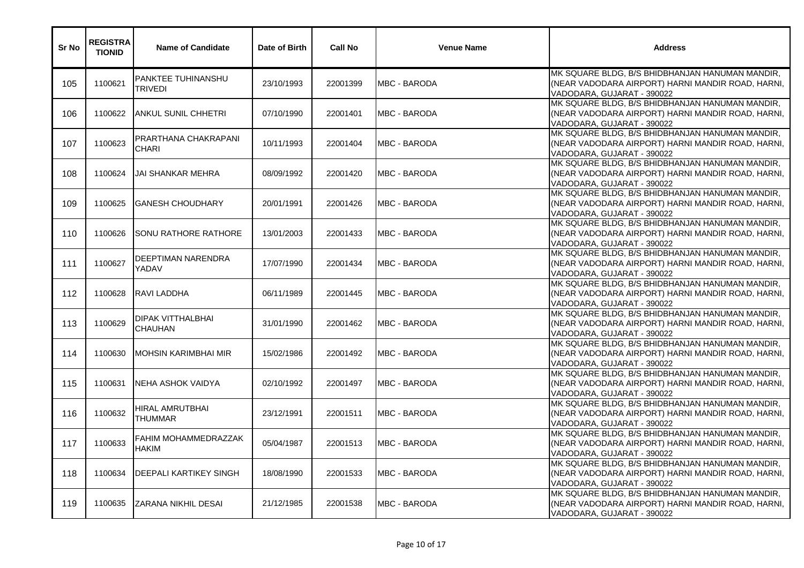| Sr No | <b>REGISTRA</b><br><b>TIONID</b> | <b>Name of Candidate</b>             | Date of Birth | <b>Call No</b> | <b>Venue Name</b>    | <b>Address</b>                                                                                                                     |
|-------|----------------------------------|--------------------------------------|---------------|----------------|----------------------|------------------------------------------------------------------------------------------------------------------------------------|
| 105   | 1100621                          | PANKTEE TUHINANSHU<br><b>TRIVEDI</b> | 23/10/1993    | 22001399       | <b>MBC - BARODA</b>  | MK SQUARE BLDG, B/S BHIDBHANJAN HANUMAN MANDIR,<br>(NEAR VADODARA AIRPORT) HARNI MANDIR ROAD, HARNI,<br>VADODARA, GUJARAT - 390022 |
| 106   | 1100622                          | ANKUL SUNIL CHHETRI                  | 07/10/1990    | 22001401       | <b>MBC - BARODA</b>  | MK SQUARE BLDG, B/S BHIDBHANJAN HANUMAN MANDIR,<br>(NEAR VADODARA AIRPORT) HARNI MANDIR ROAD, HARNI,<br>VADODARA, GUJARAT - 390022 |
| 107   | 1100623                          | PRARTHANA CHAKRAPANI<br><b>CHARI</b> | 10/11/1993    | 22001404       | <b>MBC - BARODA</b>  | MK SQUARE BLDG, B/S BHIDBHANJAN HANUMAN MANDIR,<br>(NEAR VADODARA AIRPORT) HARNI MANDIR ROAD, HARNI,<br>VADODARA, GUJARAT - 390022 |
| 108   | 1100624                          | JAI SHANKAR MEHRA                    | 08/09/1992    | 22001420       | <b>IMBC - BARODA</b> | MK SQUARE BLDG, B/S BHIDBHANJAN HANUMAN MANDIR,<br>(NEAR VADODARA AIRPORT) HARNI MANDIR ROAD, HARNI,<br>VADODARA, GUJARAT - 390022 |
| 109   | 1100625                          | <b>GANESH CHOUDHARY</b>              | 20/01/1991    | 22001426       | <b>MBC - BARODA</b>  | MK SQUARE BLDG, B/S BHIDBHANJAN HANUMAN MANDIR,<br>(NEAR VADODARA AIRPORT) HARNI MANDIR ROAD, HARNI,<br>VADODARA, GUJARAT - 390022 |
| 110   | 1100626                          | SONU RATHORE RATHORE                 | 13/01/2003    | 22001433       | <b>MBC - BARODA</b>  | MK SQUARE BLDG, B/S BHIDBHANJAN HANUMAN MANDIR,<br>(NEAR VADODARA AIRPORT) HARNI MANDIR ROAD, HARNI,<br>VADODARA, GUJARAT - 390022 |
| 111   | 1100627                          | DEEPTIMAN NARENDRA<br>YADAV          | 17/07/1990    | 22001434       | <b>MBC - BARODA</b>  | MK SQUARE BLDG, B/S BHIDBHANJAN HANUMAN MANDIR,<br>(NEAR VADODARA AIRPORT) HARNI MANDIR ROAD, HARNI,<br>VADODARA, GUJARAT - 390022 |
| 112   | 1100628                          | RAVI LADDHA                          | 06/11/1989    | 22001445       | <b>MBC - BARODA</b>  | MK SQUARE BLDG, B/S BHIDBHANJAN HANUMAN MANDIR,<br>(NEAR VADODARA AIRPORT) HARNI MANDIR ROAD, HARNI,<br>VADODARA, GUJARAT - 390022 |
| 113   | 1100629                          | DIPAK VITTHALBHAI<br>CHAUHAN         | 31/01/1990    | 22001462       | <b>MBC - BARODA</b>  | MK SQUARE BLDG, B/S BHIDBHANJAN HANUMAN MANDIR,<br>(NEAR VADODARA AIRPORT) HARNI MANDIR ROAD, HARNI,<br>VADODARA, GUJARAT - 390022 |
| 114   | 1100630                          | <b>MOHSIN KARIMBHAI MIR</b>          | 15/02/1986    | 22001492       | <b>MBC - BARODA</b>  | MK SQUARE BLDG, B/S BHIDBHANJAN HANUMAN MANDIR,<br>(NEAR VADODARA AIRPORT) HARNI MANDIR ROAD, HARNI,<br>VADODARA, GUJARAT - 390022 |
| 115   | 1100631                          | INEHA ASHOK VAIDYA                   | 02/10/1992    | 22001497       | MBC - BARODA         | MK SQUARE BLDG, B/S BHIDBHANJAN HANUMAN MANDIR,<br>(NEAR VADODARA AIRPORT) HARNI MANDIR ROAD, HARNI,<br>VADODARA, GUJARAT - 390022 |
| 116   | 1100632                          | HIRAL AMRUTBHAI<br>THUMMAR           | 23/12/1991    | 22001511       | <b>MBC - BARODA</b>  | MK SQUARE BLDG, B/S BHIDBHANJAN HANUMAN MANDIR,<br>(NEAR VADODARA AIRPORT) HARNI MANDIR ROAD, HARNI,<br>VADODARA, GUJARAT - 390022 |
| 117   | 1100633                          | FAHIM MOHAMMEDRAZZAK<br>HAKIM        | 05/04/1987    | 22001513       | <b>MBC - BARODA</b>  | MK SQUARE BLDG, B/S BHIDBHANJAN HANUMAN MANDIR,<br>(NEAR VADODARA AIRPORT) HARNI MANDIR ROAD, HARNI,<br>VADODARA, GUJARAT - 390022 |
| 118   | 1100634                          | DEEPALI KARTIKEY SINGH               | 18/08/1990    | 22001533       | MBC - BARODA         | MK SQUARE BLDG, B/S BHIDBHANJAN HANUMAN MANDIR,<br>(NEAR VADODARA AIRPORT) HARNI MANDIR ROAD, HARNI,<br>VADODARA, GUJARAT - 390022 |
| 119   | 1100635                          | <b>ZARANA NIKHIL DESAI</b>           | 21/12/1985    | 22001538       | <b>MBC - BARODA</b>  | MK SQUARE BLDG, B/S BHIDBHANJAN HANUMAN MANDIR,<br>(NEAR VADODARA AIRPORT) HARNI MANDIR ROAD, HARNI,<br>VADODARA, GUJARAT - 390022 |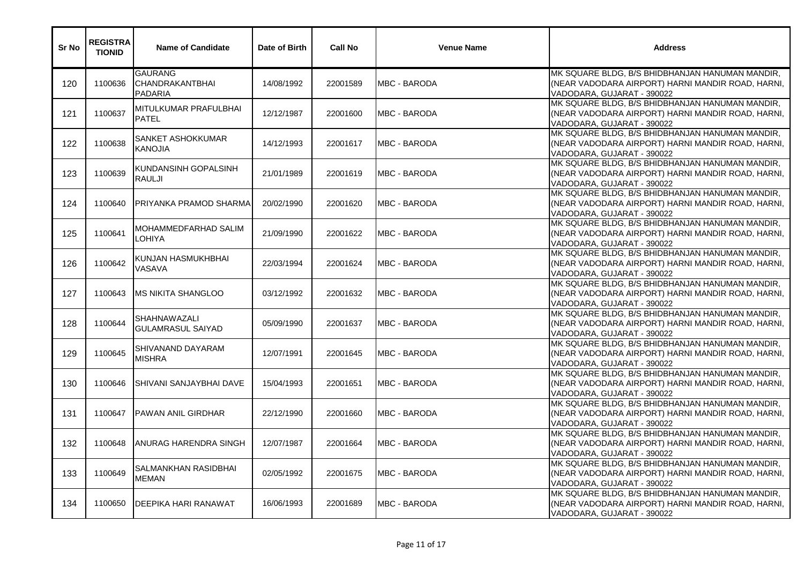| Sr No | <b>REGISTRA</b><br><b>TIONID</b> | <b>Name of Candidate</b>                            | Date of Birth | <b>Call No</b> | <b>Venue Name</b>    | <b>Address</b>                                                                                                                     |
|-------|----------------------------------|-----------------------------------------------------|---------------|----------------|----------------------|------------------------------------------------------------------------------------------------------------------------------------|
| 120   | 1100636                          | <b>GAURANG</b><br>CHANDRAKANTBHAI<br><b>PADARIA</b> | 14/08/1992    | 22001589       | <b>MBC - BARODA</b>  | MK SQUARE BLDG, B/S BHIDBHANJAN HANUMAN MANDIR,<br>(NEAR VADODARA AIRPORT) HARNI MANDIR ROAD, HARNI,<br>VADODARA, GUJARAT - 390022 |
| 121   | 1100637                          | MITULKUMAR PRAFULBHAI<br><b>PATEL</b>               | 12/12/1987    | 22001600       | <b>MBC - BARODA</b>  | MK SQUARE BLDG, B/S BHIDBHANJAN HANUMAN MANDIR,<br>(NEAR VADODARA AIRPORT) HARNI MANDIR ROAD, HARNI,<br>VADODARA, GUJARAT - 390022 |
| 122   | 1100638                          | SANKET ASHOKKUMAR<br><b>KANOJIA</b>                 | 14/12/1993    | 22001617       | <b>MBC - BARODA</b>  | MK SQUARE BLDG, B/S BHIDBHANJAN HANUMAN MANDIR,<br>(NEAR VADODARA AIRPORT) HARNI MANDIR ROAD, HARNI,<br>VADODARA, GUJARAT - 390022 |
| 123   | 1100639                          | KUNDANSINH GOPALSINH<br>RAULJI                      | 21/01/1989    | 22001619       | <b>MBC - BARODA</b>  | MK SQUARE BLDG, B/S BHIDBHANJAN HANUMAN MANDIR,<br>(NEAR VADODARA AIRPORT) HARNI MANDIR ROAD, HARNI,<br>VADODARA, GUJARAT - 390022 |
| 124   | 1100640                          | PRIYANKA PRAMOD SHARMA                              | 20/02/1990    | 22001620       | <b>IMBC - BARODA</b> | MK SQUARE BLDG, B/S BHIDBHANJAN HANUMAN MANDIR,<br>(NEAR VADODARA AIRPORT) HARNI MANDIR ROAD, HARNI,<br>VADODARA, GUJARAT - 390022 |
| 125   | 1100641                          | MOHAMMEDFARHAD SALIM<br>LOHIYA                      | 21/09/1990    | 22001622       | MBC - BARODA         | MK SQUARE BLDG, B/S BHIDBHANJAN HANUMAN MANDIR,<br>(NEAR VADODARA AIRPORT) HARNI MANDIR ROAD, HARNI,<br>VADODARA, GUJARAT - 390022 |
| 126   | 1100642                          | KUNJAN HASMUKHBHAI<br>VASAVA                        | 22/03/1994    | 22001624       | <b>MBC - BARODA</b>  | MK SQUARE BLDG, B/S BHIDBHANJAN HANUMAN MANDIR,<br>(NEAR VADODARA AIRPORT) HARNI MANDIR ROAD, HARNI,<br>VADODARA, GUJARAT - 390022 |
| 127   | 1100643                          | <b>MS NIKITA SHANGLOO</b>                           | 03/12/1992    | 22001632       | <b>MBC - BARODA</b>  | MK SQUARE BLDG, B/S BHIDBHANJAN HANUMAN MANDIR,<br>(NEAR VADODARA AIRPORT) HARNI MANDIR ROAD, HARNI,<br>VADODARA, GUJARAT - 390022 |
| 128   | 1100644                          | SHAHNAWAZALI<br><b>GULAMRASUL SAIYAD</b>            | 05/09/1990    | 22001637       | <b>MBC - BARODA</b>  | MK SQUARE BLDG, B/S BHIDBHANJAN HANUMAN MANDIR,<br>(NEAR VADODARA AIRPORT) HARNI MANDIR ROAD, HARNI,<br>VADODARA, GUJARAT - 390022 |
| 129   | 1100645                          | SHIVANAND DAYARAM<br><b>MISHRA</b>                  | 12/07/1991    | 22001645       | <b>MBC - BARODA</b>  | MK SQUARE BLDG, B/S BHIDBHANJAN HANUMAN MANDIR,<br>(NEAR VADODARA AIRPORT) HARNI MANDIR ROAD, HARNI,<br>VADODARA, GUJARAT - 390022 |
| 130   | 1100646                          | SHIVANI SANJAYBHAI DAVE                             | 15/04/1993    | 22001651       | <b>MBC - BARODA</b>  | MK SQUARE BLDG, B/S BHIDBHANJAN HANUMAN MANDIR,<br>(NEAR VADODARA AIRPORT) HARNI MANDIR ROAD, HARNI,<br>VADODARA, GUJARAT - 390022 |
| 131   | 1100647                          | PAWAN ANIL GIRDHAR                                  | 22/12/1990    | 22001660       | <b>MBC - BARODA</b>  | MK SQUARE BLDG, B/S BHIDBHANJAN HANUMAN MANDIR,<br>(NEAR VADODARA AIRPORT) HARNI MANDIR ROAD, HARNI,<br>VADODARA, GUJARAT - 390022 |
| 132   | 1100648                          | ANURAG HARENDRA SINGH                               | 12/07/1987    | 22001664       | <b>MBC - BARODA</b>  | MK SQUARE BLDG, B/S BHIDBHANJAN HANUMAN MANDIR,<br>(NEAR VADODARA AIRPORT) HARNI MANDIR ROAD, HARNI,<br>VADODARA, GUJARAT - 390022 |
| 133   | 1100649                          | SALMANKHAN RASIDBHAI<br><b>MEMAN</b>                | 02/05/1992    | 22001675       | <b>MBC - BARODA</b>  | MK SQUARE BLDG, B/S BHIDBHANJAN HANUMAN MANDIR,<br>(NEAR VADODARA AIRPORT) HARNI MANDIR ROAD, HARNI,<br>VADODARA, GUJARAT - 390022 |
| 134   | 1100650                          | DEEPIKA HARI RANAWAT                                | 16/06/1993    | 22001689       | <b>MBC - BARODA</b>  | MK SQUARE BLDG, B/S BHIDBHANJAN HANUMAN MANDIR,<br>(NEAR VADODARA AIRPORT) HARNI MANDIR ROAD, HARNI,<br>VADODARA, GUJARAT - 390022 |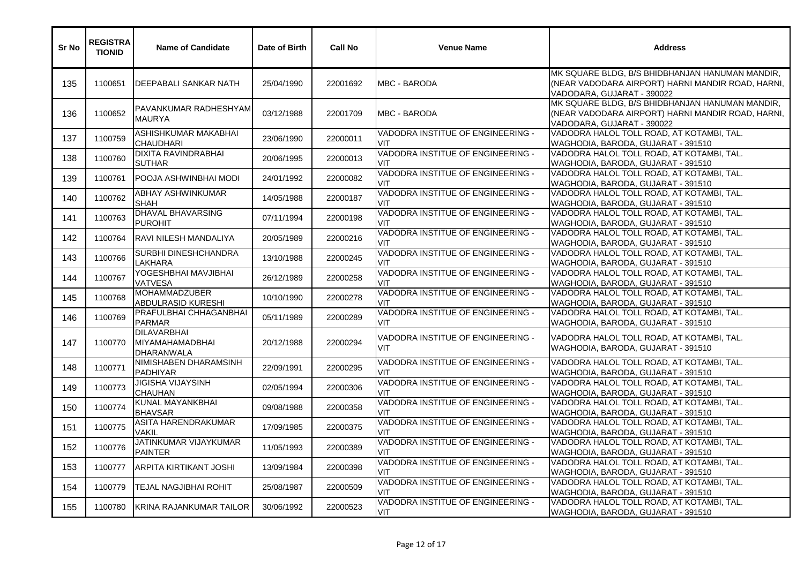| <b>Sr No</b> | <b>REGISTRA</b><br><b>TIONID</b> | <b>Name of Candidate</b>                                          | Date of Birth | <b>Call No</b> | <b>Venue Name</b>                               | <b>Address</b>                                                                                                                     |
|--------------|----------------------------------|-------------------------------------------------------------------|---------------|----------------|-------------------------------------------------|------------------------------------------------------------------------------------------------------------------------------------|
| 135          | 1100651                          | DEEPABALI SANKAR NATH                                             | 25/04/1990    | 22001692       | <b>MBC - BARODA</b>                             | MK SQUARE BLDG, B/S BHIDBHANJAN HANUMAN MANDIR,<br>(NEAR VADODARA AIRPORT) HARNI MANDIR ROAD, HARNI,<br>VADODARA, GUJARAT - 390022 |
| 136          | 1100652                          | PAVANKUMAR RADHESHYAM<br><b>MAURYA</b>                            | 03/12/1988    | 22001709       | <b>MBC - BARODA</b>                             | MK SQUARE BLDG, B/S BHIDBHANJAN HANUMAN MANDIR,<br>(NEAR VADODARA AIRPORT) HARNI MANDIR ROAD, HARNI,<br>VADODARA, GUJARAT - 390022 |
| 137          | 1100759                          | ASHISHKUMAR MAKABHAI<br><b>CHAUDHARI</b>                          | 23/06/1990    | 22000011       | VADODRA INSTITUE OF ENGINEERING -<br>VIT        | VADODRA HALOL TOLL ROAD, AT KOTAMBI, TAL.<br>WAGHODIA, BARODA, GUJARAT - 391510                                                    |
| 138          | 1100760                          | <b>DIXITA RAVINDRABHAI</b><br><b>SUTHAR</b>                       | 20/06/1995    | 22000013       | VADODRA INSTITUE OF ENGINEERING -<br>VIT        | VADODRA HALOL TOLL ROAD, AT KOTAMBI, TAL.<br>WAGHODIA, BARODA, GUJARAT - 391510                                                    |
| 139          | 1100761                          | POOJA ASHWINBHAI MODI                                             | 24/01/1992    | 22000082       | VADODRA INSTITUE OF ENGINEERING -<br>VIT        | VADODRA HALOL TOLL ROAD, AT KOTAMBI, TAL.<br>WAGHODIA, BARODA, GUJARAT - 391510                                                    |
| 140          | 1100762                          | ABHAY ASHWINKUMAR<br><b>SHAH</b>                                  | 14/05/1988    | 22000187       | VADODRA INSTITUE OF ENGINEERING -<br>VIT        | VADODRA HALOL TOLL ROAD, AT KOTAMBI, TAL.<br>WAGHODIA, BARODA, GUJARAT - 391510                                                    |
| 141          | 1100763                          | DHAVAL BHAVARSING<br><b>PUROHIT</b>                               | 07/11/1994    | 22000198       | VADODRA INSTITUE OF ENGINEERING -<br>VIT        | VADODRA HALOL TOLL ROAD, AT KOTAMBI, TAL.<br>WAGHODIA, BARODA, GUJARAT - 391510                                                    |
| 142          | 1100764                          | RAVI NILESH MANDALIYA                                             | 20/05/1989    | 22000216       | VADODRA INSTITUE OF ENGINEERING -<br>VIT        | VADODRA HALOL TOLL ROAD, AT KOTAMBI, TAL.<br>WAGHODIA, BARODA, GUJARAT - 391510                                                    |
| 143          | 1100766                          | SURBHI DINESHCHANDRA<br>LAKHARA                                   | 13/10/1988    | 22000245       | VADODRA INSTITUE OF ENGINEERING -<br><b>VIT</b> | VADODRA HALOL TOLL ROAD, AT KOTAMBI, TAL.<br>WAGHODIA, BARODA, GUJARAT - 391510                                                    |
| 144          | 1100767                          | YOGESHBHAI MAVJIBHAI<br><b>VATVESA</b>                            | 26/12/1989    | 22000258       | VADODRA INSTITUE OF ENGINEERING -<br>VIT        | VADODRA HALOL TOLL ROAD, AT KOTAMBI, TAL.<br>WAGHODIA, BARODA, GUJARAT - 391510                                                    |
| 145          | 1100768                          | MOHAMMADZUBER<br>ABDULRASID KURESHI                               | 10/10/1990    | 22000278       | VADODRA INSTITUE OF ENGINEERING -<br><b>VIT</b> | VADODRA HALOL TOLL ROAD, AT KOTAMBI, TAL.<br>WAGHODIA, BARODA, GUJARAT - 391510                                                    |
| 146          | 1100769                          | PRAFULBHAI CHHAGANBHAI<br><b>PARMAR</b>                           | 05/11/1989    | 22000289       | VADODRA INSTITUE OF ENGINEERING -<br>VIT        | VADODRA HALOL TOLL ROAD, AT KOTAMBI, TAL.<br>WAGHODIA, BARODA, GUJARAT - 391510                                                    |
| 147          | 1100770                          | <b>DILAVARBHAI</b><br><b>MIYAMAHAMADBHAI</b><br><b>DHARANWALA</b> | 20/12/1988    | 22000294       | VADODRA INSTITUE OF ENGINEERING -<br><b>VIT</b> | VADODRA HALOL TOLL ROAD, AT KOTAMBI, TAL.<br>WAGHODIA, BARODA, GUJARAT - 391510                                                    |
| 148          | 1100771                          | NIMISHABEN DHARAMSINH<br><b>PADHIYAR</b>                          | 22/09/1991    | 22000295       | VADODRA INSTITUE OF ENGINEERING -<br><b>VIT</b> | VADODRA HALOL TOLL ROAD, AT KOTAMBI, TAL.<br>WAGHODIA, BARODA, GUJARAT - 391510                                                    |
| 149          | 1100773                          | <b>JIGISHA VIJAYSINH</b><br><b>CHAUHAN</b>                        | 02/05/1994    | 22000306       | VADODRA INSTITUE OF ENGINEERING -<br>VIT        | VADODRA HALOL TOLL ROAD, AT KOTAMBI, TAL.<br>WAGHODIA, BARODA, GUJARAT - 391510                                                    |
| 150          | 1100774                          | KUNAL MAYANKBHAI<br><b>BHAVSAR</b>                                | 09/08/1988    | 22000358       | VADODRA INSTITUE OF ENGINEERING -<br><b>VIT</b> | VADODRA HALOL TOLL ROAD, AT KOTAMBI, TAL.<br>WAGHODIA, BARODA, GUJARAT - 391510                                                    |
| 151          | 1100775                          | <b>ASITA HARENDRAKUMAR</b><br>VAKIL                               | 17/09/1985    | 22000375       | VADODRA INSTITUE OF ENGINEERING -<br><b>VIT</b> | VADODRA HALOL TOLL ROAD, AT KOTAMBI, TAL.<br>WAGHODIA, BARODA, GUJARAT - 391510                                                    |
| 152          | 1100776                          | JATINKUMAR VIJAYKUMAR<br><b>PAINTER</b>                           | 11/05/1993    | 22000389       | VADODRA INSTITUE OF ENGINEERING -<br>VIT        | VADODRA HALOL TOLL ROAD, AT KOTAMBI, TAL.<br>WAGHODIA, BARODA, GUJARAT - 391510                                                    |
| 153          | 1100777                          | <b>ARPITA KIRTIKANT JOSHI</b>                                     | 13/09/1984    | 22000398       | VADODRA INSTITUE OF ENGINEERING -<br>VIT        | VADODRA HALOL TOLL ROAD, AT KOTAMBI, TAL.<br>WAGHODIA, BARODA, GUJARAT - 391510                                                    |
| 154          | 1100779                          | TEJAL NAGJIBHAI ROHIT                                             | 25/08/1987    | 22000509       | VADODRA INSTITUE OF ENGINEERING -<br>VIT        | VADODRA HALOL TOLL ROAD, AT KOTAMBI, TAL.<br>WAGHODIA, BARODA, GUJARAT - 391510                                                    |
| 155          | 1100780                          | KRINA RAJANKUMAR TAILOR                                           | 30/06/1992    | 22000523       | VADODRA INSTITUE OF ENGINEERING -<br><b>VIT</b> | VADODRA HALOL TOLL ROAD, AT KOTAMBI, TAL.<br>WAGHODIA, BARODA, GUJARAT - 391510                                                    |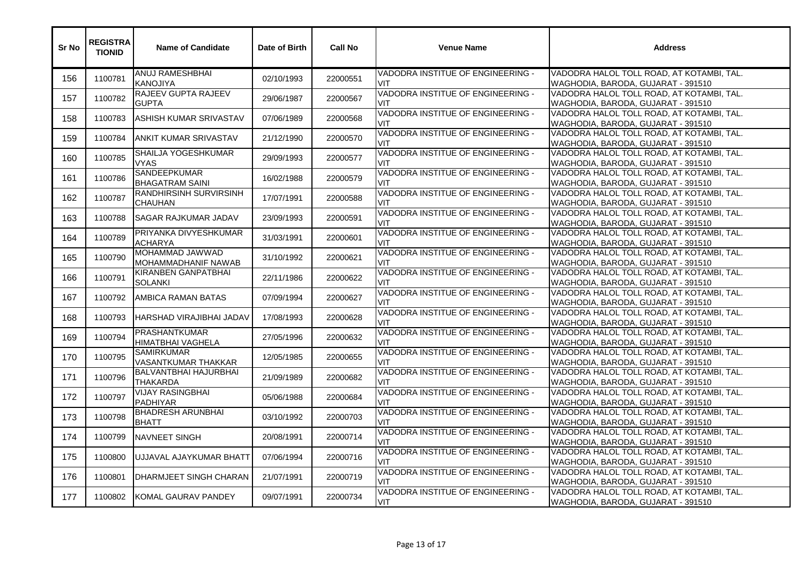| Sr No | <b>REGISTRA</b><br><b>TIONID</b> | <b>Name of Candidate</b>                        | Date of Birth | <b>Call No</b> | <b>Venue Name</b>                               | <b>Address</b>                                                                  |
|-------|----------------------------------|-------------------------------------------------|---------------|----------------|-------------------------------------------------|---------------------------------------------------------------------------------|
| 156   | 1100781                          | ANUJ RAMESHBHAI<br><b>KANOJIYA</b>              | 02/10/1993    | 22000551       | VADODRA INSTITUE OF ENGINEERING -<br>VIT.       | VADODRA HALOL TOLL ROAD, AT KOTAMBI, TAL.<br>WAGHODIA, BARODA, GUJARAT - 391510 |
| 157   | 1100782                          | RAJEEV GUPTA RAJEEV<br><b>GUPTA</b>             | 29/06/1987    | 22000567       | VADODRA INSTITUE OF ENGINEERING -<br><b>VIT</b> | VADODRA HALOL TOLL ROAD, AT KOTAMBI, TAL.<br>WAGHODIA, BARODA, GUJARAT - 391510 |
| 158   | 1100783                          | ASHISH KUMAR SRIVASTAV                          | 07/06/1989    | 22000568       | VADODRA INSTITUE OF ENGINEERING -<br><b>VIT</b> | VADODRA HALOL TOLL ROAD, AT KOTAMBI, TAL.<br>WAGHODIA, BARODA, GUJARAT - 391510 |
| 159   | 1100784                          | ANKIT KUMAR SRIVASTAV                           | 21/12/1990    | 22000570       | VADODRA INSTITUE OF ENGINEERING -<br>VIT        | VADODRA HALOL TOLL ROAD, AT KOTAMBI, TAL.<br>WAGHODIA, BARODA, GUJARAT - 391510 |
| 160   | 1100785                          | SHAILJA YOGESHKUMAR<br><b>VYAS</b>              | 29/09/1993    | 22000577       | VADODRA INSTITUE OF ENGINEERING -<br>VIT.       | VADODRA HALOL TOLL ROAD, AT KOTAMBI, TAL.<br>WAGHODIA, BARODA, GUJARAT - 391510 |
| 161   | 1100786                          | <b>SANDEEPKUMAR</b><br><b>BHAGATRAM SAINI</b>   | 16/02/1988    | 22000579       | VADODRA INSTITUE OF ENGINEERING -<br><b>VIT</b> | VADODRA HALOL TOLL ROAD, AT KOTAMBI, TAL.<br>WAGHODIA, BARODA, GUJARAT - 391510 |
| 162   | 1100787                          | <b>RANDHIRSINH SURVIRSINH</b><br><b>CHAUHAN</b> | 17/07/1991    | 22000588       | VADODRA INSTITUE OF ENGINEERING -<br><b>VIT</b> | VADODRA HALOL TOLL ROAD, AT KOTAMBI, TAL.<br>WAGHODIA, BARODA, GUJARAT - 391510 |
| 163   | 1100788                          | <b>SAGAR RAJKUMAR JADAV</b>                     | 23/09/1993    | 22000591       | VADODRA INSTITUE OF ENGINEERING -<br><b>VIT</b> | VADODRA HALOL TOLL ROAD, AT KOTAMBI, TAL.<br>WAGHODIA, BARODA, GUJARAT - 391510 |
| 164   | 1100789                          | PRIYANKA DIVYESHKUMAR<br><b>ACHARYA</b>         | 31/03/1991    | 22000601       | VADODRA INSTITUE OF ENGINEERING -<br>VIT        | VADODRA HALOL TOLL ROAD, AT KOTAMBI, TAL.<br>WAGHODIA, BARODA, GUJARAT - 391510 |
| 165   | 1100790                          | MOHAMMAD JAWWAD<br>MOHAMMADHANIF NAWAB          | 31/10/1992    | 22000621       | VADODRA INSTITUE OF ENGINEERING -<br>VIT        | VADODRA HALOL TOLL ROAD, AT KOTAMBI, TAL.<br>WAGHODIA, BARODA, GUJARAT - 391510 |
| 166   | 1100791                          | KIRANBEN GANPATBHAI<br>SOLANKI                  | 22/11/1986    | 22000622       | VADODRA INSTITUE OF ENGINEERING -<br>VIT        | VADODRA HALOL TOLL ROAD, AT KOTAMBI, TAL.<br>WAGHODIA, BARODA, GUJARAT - 391510 |
| 167   | 1100792                          | AMBICA RAMAN BATAS                              | 07/09/1994    | 22000627       | VADODRA INSTITUE OF ENGINEERING -<br>VIT        | VADODRA HALOL TOLL ROAD, AT KOTAMBI, TAL.<br>WAGHODIA, BARODA, GUJARAT - 391510 |
| 168   | 1100793                          | HARSHAD VIRAJIBHAI JADAV                        | 17/08/1993    | 22000628       | VADODRA INSTITUE OF ENGINEERING -<br><b>VIT</b> | VADODRA HALOL TOLL ROAD, AT KOTAMBI, TAL.<br>WAGHODIA, BARODA, GUJARAT - 391510 |
| 169   | 1100794                          | <b>PRASHANTKUMAR</b><br>HIMATBHAI VAGHELA       | 27/05/1996    | 22000632       | VADODRA INSTITUE OF ENGINEERING -<br>VIT        | VADODRA HALOL TOLL ROAD, AT KOTAMBI, TAL.<br>WAGHODIA, BARODA, GUJARAT - 391510 |
| 170   | 1100795                          | <b>SAMIRKUMAR</b><br>VASANTKUMAR THAKKAR        | 12/05/1985    | 22000655       | VADODRA INSTITUE OF ENGINEERING -<br>VIT        | VADODRA HALOL TOLL ROAD, AT KOTAMBI, TAL.<br>WAGHODIA, BARODA, GUJARAT - 391510 |
| 171   | 1100796                          | <b>BALVANTBHAI HAJURBHAI</b><br>THAKARDA        | 21/09/1989    | 22000682       | VADODRA INSTITUE OF ENGINEERING -<br>VIT        | VADODRA HALOL TOLL ROAD, AT KOTAMBI, TAL.<br>WAGHODIA, BARODA, GUJARAT - 391510 |
| 172   | 1100797                          | <b>VIJAY RASINGBHAI</b><br><b>PADHIYAR</b>      | 05/06/1988    | 22000684       | VADODRA INSTITUE OF ENGINEERING -<br><b>VIT</b> | VADODRA HALOL TOLL ROAD, AT KOTAMBI, TAL.<br>WAGHODIA, BARODA, GUJARAT - 391510 |
| 173   | 1100798                          | <b>BHADRESH ARUNBHAI</b><br><b>BHATT</b>        | 03/10/1992    | 22000703       | VADODRA INSTITUE OF ENGINEERING -<br><b>VIT</b> | VADODRA HALOL TOLL ROAD, AT KOTAMBI, TAL.<br>WAGHODIA, BARODA, GUJARAT - 391510 |
| 174   | 1100799                          | <b>NAVNEET SINGH</b>                            | 20/08/1991    | 22000714       | VADODRA INSTITUE OF ENGINEERING -<br><b>VIT</b> | VADODRA HALOL TOLL ROAD, AT KOTAMBI, TAL.<br>WAGHODIA, BARODA, GUJARAT - 391510 |
| 175   | 1100800                          | UJJAVAL AJAYKUMAR BHATT                         | 07/06/1994    | 22000716       | VADODRA INSTITUE OF ENGINEERING -<br><b>VIT</b> | VADODRA HALOL TOLL ROAD, AT KOTAMBI, TAL.<br>WAGHODIA, BARODA, GUJARAT - 391510 |
| 176   | 1100801                          | DHARMJEET SINGH CHARAN                          | 21/07/1991    | 22000719       | VADODRA INSTITUE OF ENGINEERING -<br>VIT        | VADODRA HALOL TOLL ROAD, AT KOTAMBI, TAL.<br>WAGHODIA, BARODA, GUJARAT - 391510 |
| 177   | 1100802                          | KOMAL GAURAV PANDEY                             | 09/07/1991    | 22000734       | VADODRA INSTITUE OF ENGINEERING -<br><b>VIT</b> | VADODRA HALOL TOLL ROAD, AT KOTAMBI, TAL.<br>WAGHODIA, BARODA, GUJARAT - 391510 |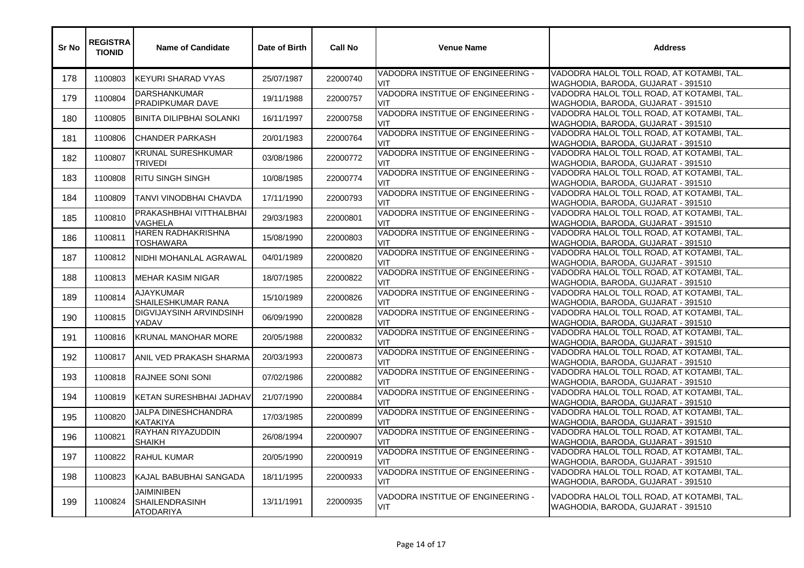| Sr No | <b>REGISTRA</b><br><b>TIONID</b> | <b>Name of Candidate</b>                                       | Date of Birth | <b>Call No</b> | <b>Venue Name</b>                               | <b>Address</b>                                                                  |
|-------|----------------------------------|----------------------------------------------------------------|---------------|----------------|-------------------------------------------------|---------------------------------------------------------------------------------|
| 178   | 1100803                          | <b>KEYURI SHARAD VYAS</b>                                      | 25/07/1987    | 22000740       | VADODRA INSTITUE OF ENGINEERING -<br>VIT        | VADODRA HALOL TOLL ROAD, AT KOTAMBI, TAL.<br>WAGHODIA, BARODA, GUJARAT - 391510 |
| 179   | 1100804                          | DARSHANKUMAR<br>PRADIPKUMAR DAVE                               | 19/11/1988    | 22000757       | VADODRA INSTITUE OF ENGINEERING -<br>VIT        | VADODRA HALOL TOLL ROAD, AT KOTAMBI, TAL.<br>WAGHODIA, BARODA, GUJARAT - 391510 |
| 180   | 1100805                          | <b>BINITA DILIPBHAI SOLANKI</b>                                | 16/11/1997    | 22000758       | VADODRA INSTITUE OF ENGINEERING -<br>VIT        | VADODRA HALOL TOLL ROAD, AT KOTAMBI, TAL.<br>WAGHODIA, BARODA, GUJARAT - 391510 |
| 181   | 1100806                          | <b>CHANDER PARKASH</b>                                         | 20/01/1983    | 22000764       | VADODRA INSTITUE OF ENGINEERING -<br>VIT        | VADODRA HALOL TOLL ROAD, AT KOTAMBI, TAL.<br>WAGHODIA, BARODA, GUJARAT - 391510 |
| 182   | 1100807                          | KRUNAL SURESHKUMAR<br><b>TRIVEDI</b>                           | 03/08/1986    | 22000772       | VADODRA INSTITUE OF ENGINEERING -<br>VIT        | VADODRA HALOL TOLL ROAD, AT KOTAMBI, TAL.<br>WAGHODIA, BARODA, GUJARAT - 391510 |
| 183   | 1100808                          | <b>RITU SINGH SINGH</b>                                        | 10/08/1985    | 22000774       | VADODRA INSTITUE OF ENGINEERING -<br>VIT        | VADODRA HALOL TOLL ROAD, AT KOTAMBI, TAL.<br>WAGHODIA, BARODA, GUJARAT - 391510 |
| 184   | 1100809                          | TANVI VINODBHAI CHAVDA                                         | 17/11/1990    | 22000793       | VADODRA INSTITUE OF ENGINEERING -<br>VIT        | VADODRA HALOL TOLL ROAD, AT KOTAMBI, TAL.<br>WAGHODIA, BARODA, GUJARAT - 391510 |
| 185   | 1100810                          | PRAKASHBHAI VITTHALBHAI<br>VAGHELA                             | 29/03/1983    | 22000801       | VADODRA INSTITUE OF ENGINEERING -<br>VIT        | VADODRA HALOL TOLL ROAD, AT KOTAMBI, TAL.<br>WAGHODIA, BARODA, GUJARAT - 391510 |
| 186   | 1100811                          | HAREN RADHAKRISHNA<br>TOSHAWARA                                | 15/08/1990    | 22000803       | VADODRA INSTITUE OF ENGINEERING -<br>VIT        | VADODRA HALOL TOLL ROAD, AT KOTAMBI, TAL.<br>WAGHODIA, BARODA, GUJARAT - 391510 |
| 187   | 1100812                          | NIDHI MOHANLAL AGRAWAL                                         | 04/01/1989    | 22000820       | VADODRA INSTITUE OF ENGINEERING -<br>VIT        | VADODRA HALOL TOLL ROAD, AT KOTAMBI, TAL.<br>WAGHODIA, BARODA, GUJARAT - 391510 |
| 188   | 1100813                          | <b>MEHAR KASIM NIGAR</b>                                       | 18/07/1985    | 22000822       | VADODRA INSTITUE OF ENGINEERING -<br>VIT        | VADODRA HALOL TOLL ROAD, AT KOTAMBI, TAL.<br>WAGHODIA, BARODA, GUJARAT - 391510 |
| 189   | 1100814                          | <b>AJAYKUMAR</b><br>SHAILESHKUMAR RANA                         | 15/10/1989    | 22000826       | VADODRA INSTITUE OF ENGINEERING -<br>VIT        | VADODRA HALOL TOLL ROAD, AT KOTAMBI, TAL.<br>WAGHODIA, BARODA, GUJARAT - 391510 |
| 190   | 1100815                          | DIGVIJAYSINH ARVINDSINH<br><b>YADAV</b>                        | 06/09/1990    | 22000828       | VADODRA INSTITUE OF ENGINEERING -<br>VIT        | VADODRA HALOL TOLL ROAD, AT KOTAMBI, TAL.<br>WAGHODIA, BARODA, GUJARAT - 391510 |
| 191   | 1100816                          | <b>KRUNAL MANOHAR MORE</b>                                     | 20/05/1988    | 22000832       | VADODRA INSTITUE OF ENGINEERING -<br>VIT        | VADODRA HALOL TOLL ROAD, AT KOTAMBI, TAL.<br>WAGHODIA, BARODA, GUJARAT - 391510 |
| 192   | 1100817                          | ANIL VED PRAKASH SHARMA                                        | 20/03/1993    | 22000873       | VADODRA INSTITUE OF ENGINEERING -<br>VIT        | VADODRA HALOL TOLL ROAD, AT KOTAMBI, TAL.<br>WAGHODIA, BARODA, GUJARAT - 391510 |
| 193   | 1100818                          | RAJNEE SONI SONI                                               | 07/02/1986    | 22000882       | VADODRA INSTITUE OF ENGINEERING -<br>VIT        | VADODRA HALOL TOLL ROAD, AT KOTAMBI, TAL.<br>WAGHODIA, BARODA, GUJARAT - 391510 |
| 194   | 1100819                          | KETAN SURESHBHAI JADHAV                                        | 21/07/1990    | 22000884       | VADODRA INSTITUE OF ENGINEERING -<br>VIT        | VADODRA HALOL TOLL ROAD, AT KOTAMBI, TAL.<br>WAGHODIA, BARODA, GUJARAT - 391510 |
| 195   | 1100820                          | JALPA DINESHCHANDRA<br>KATAKIYA                                | 17/03/1985    | 22000899       | VADODRA INSTITUE OF ENGINEERING -<br>VIT        | VADODRA HALOL TOLL ROAD, AT KOTAMBI, TAL.<br>WAGHODIA, BARODA, GUJARAT - 391510 |
| 196   | 1100821                          | RAYHAN RIYAZUDDIN<br><b>SHAIKH</b>                             | 26/08/1994    | 22000907       | VADODRA INSTITUE OF ENGINEERING -<br>VIT        | VADODRA HALOL TOLL ROAD, AT KOTAMBI, TAL.<br>WAGHODIA, BARODA, GUJARAT - 391510 |
| 197   | 1100822                          | <b>RAHUL KUMAR</b>                                             | 20/05/1990    | 22000919       | VADODRA INSTITUE OF ENGINEERING -<br>VIT        | VADODRA HALOL TOLL ROAD, AT KOTAMBI, TAL.<br>WAGHODIA, BARODA, GUJARAT - 391510 |
| 198   | 1100823                          | KAJAL BABUBHAI SANGADA                                         | 18/11/1995    | 22000933       | VADODRA INSTITUE OF ENGINEERING -<br>VIT.       | VADODRA HALOL TOLL ROAD, AT KOTAMBI, TAL.<br>WAGHODIA, BARODA, GUJARAT - 391510 |
| 199   | 1100824                          | <b>JAIMINIBEN</b><br><b>SHAILENDRASINH</b><br><b>ATODARIYA</b> | 13/11/1991    | 22000935       | VADODRA INSTITUE OF ENGINEERING -<br><b>VIT</b> | VADODRA HALOL TOLL ROAD, AT KOTAMBI, TAL.<br>WAGHODIA, BARODA, GUJARAT - 391510 |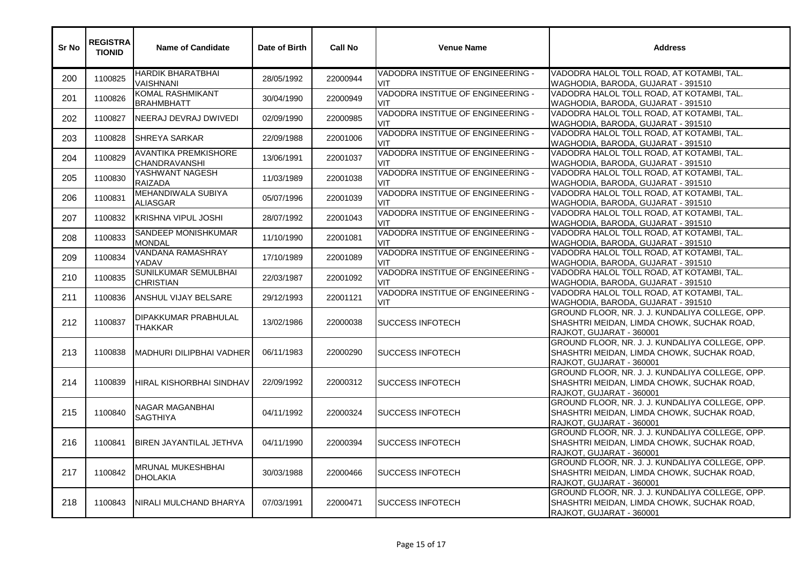| Sr No | <b>REGISTRA</b><br><b>TIONID</b> | <b>Name of Candidate</b>                 | Date of Birth | <b>Call No</b> | <b>Venue Name</b>                               | <b>Address</b>                                                                                                            |
|-------|----------------------------------|------------------------------------------|---------------|----------------|-------------------------------------------------|---------------------------------------------------------------------------------------------------------------------------|
| 200   | 1100825                          | HARDIK BHARATBHAI<br>VAISHNANI           | 28/05/1992    | 22000944       | VADODRA INSTITUE OF ENGINEERING -<br><b>VIT</b> | VADODRA HALOL TOLL ROAD, AT KOTAMBI, TAL.<br>WAGHODIA, BARODA, GUJARAT - 391510                                           |
| 201   | 1100826                          | KOMAL RASHMIKANT<br><b>BRAHMBHATT</b>    | 30/04/1990    | 22000949       | VADODRA INSTITUE OF ENGINEERING -<br><b>VIT</b> | VADODRA HALOL TOLL ROAD, AT KOTAMBI, TAL.<br>WAGHODIA, BARODA, GUJARAT - 391510                                           |
| 202   | 1100827                          | NEERAJ DEVRAJ DWIVEDI                    | 02/09/1990    | 22000985       | VADODRA INSTITUE OF ENGINEERING -<br>VIT        | VADODRA HALOL TOLL ROAD, AT KOTAMBI, TAL.<br>WAGHODIA, BARODA, GUJARAT - 391510                                           |
| 203   | 1100828                          | <b>SHREYA SARKAR</b>                     | 22/09/1988    | 22001006       | VADODRA INSTITUE OF ENGINEERING -<br><b>VIT</b> | VADODRA HALOL TOLL ROAD, AT KOTAMBI, TAL.<br>WAGHODIA, BARODA, GUJARAT - 391510                                           |
| 204   | 1100829                          | AVANTIKA PREMKISHORE<br>CHANDRAVANSHI    | 13/06/1991    | 22001037       | VADODRA INSTITUE OF ENGINEERING -<br>VIT        | VADODRA HALOL TOLL ROAD, AT KOTAMBI, TAL.<br>WAGHODIA, BARODA, GUJARAT - 391510                                           |
| 205   | 1100830                          | YASHWANT NAGESH<br><b>RAIZADA</b>        | 11/03/1989    | 22001038       | VADODRA INSTITUE OF ENGINEERING -<br><b>VIT</b> | VADODRA HALOL TOLL ROAD, AT KOTAMBI, TAL.<br>WAGHODIA, BARODA, GUJARAT - 391510                                           |
| 206   | 1100831                          | MEHANDIWALA SUBIYA<br>ALIASGAR           | 05/07/1996    | 22001039       | VADODRA INSTITUE OF ENGINEERING -<br>VIT        | VADODRA HALOL TOLL ROAD, AT KOTAMBI, TAL.<br>WAGHODIA, BARODA, GUJARAT - 391510                                           |
| 207   | 1100832                          | <b>KRISHNA VIPUL JOSHI</b>               | 28/07/1992    | 22001043       | VADODRA INSTITUE OF ENGINEERING -<br>VIT.       | VADODRA HALOL TOLL ROAD, AT KOTAMBI, TAL.<br>WAGHODIA, BARODA, GUJARAT - 391510                                           |
| 208   | 1100833                          | SANDEEP MONISHKUMAR<br><b>MONDAL</b>     | 11/10/1990    | 22001081       | VADODRA INSTITUE OF ENGINEERING -<br><b>VIT</b> | VADODRA HALOL TOLL ROAD, AT KOTAMBI, TAL.<br>WAGHODIA, BARODA, GUJARAT - 391510                                           |
| 209   | 1100834                          | VANDANA RAMASHRAY<br>YADAV               | 17/10/1989    | 22001089       | VADODRA INSTITUE OF ENGINEERING -<br><b>VIT</b> | VADODRA HALOL TOLL ROAD, AT KOTAMBI, TAL.<br>WAGHODIA, BARODA, GUJARAT - 391510                                           |
| 210   | 1100835                          | SUNILKUMAR SEMULBHAI<br><b>CHRISTIAN</b> | 22/03/1987    | 22001092       | VADODRA INSTITUE OF ENGINEERING -<br><b>VIT</b> | VADODRA HALOL TOLL ROAD, AT KOTAMBI, TAL.<br>WAGHODIA, BARODA, GUJARAT - 391510                                           |
| 211   | 1100836                          | ANSHUL VIJAY BELSARE                     | 29/12/1993    | 22001121       | VADODRA INSTITUE OF ENGINEERING -<br><b>VIT</b> | VADODRA HALOL TOLL ROAD, AT KOTAMBI, TAL.<br>WAGHODIA, BARODA, GUJARAT - 391510                                           |
| 212   | 1100837                          | DIPAKKUMAR PRABHULAL<br><b>THAKKAR</b>   | 13/02/1986    | 22000038       | <b>SUCCESS INFOTECH</b>                         | GROUND FLOOR, NR. J. J. KUNDALIYA COLLEGE, OPP.<br>SHASHTRI MEIDAN, LIMDA CHOWK, SUCHAK ROAD,<br>RAJKOT, GUJARAT - 360001 |
| 213   | 1100838                          | MADHURI DILIPBHAI VADHER                 | 06/11/1983    | 22000290       | <b>SUCCESS INFOTECH</b>                         | GROUND FLOOR, NR. J. J. KUNDALIYA COLLEGE, OPP.<br>SHASHTRI MEIDAN, LIMDA CHOWK, SUCHAK ROAD,<br>RAJKOT, GUJARAT - 360001 |
| 214   | 1100839                          | HIRAL KISHORBHAI SINDHAV                 | 22/09/1992    | 22000312       | <b>SUCCESS INFOTECH</b>                         | GROUND FLOOR, NR. J. J. KUNDALIYA COLLEGE, OPP.<br>SHASHTRI MEIDAN, LIMDA CHOWK, SUCHAK ROAD,<br>RAJKOT, GUJARAT - 360001 |
| 215   | 1100840                          | NAGAR MAGANBHAI<br><b>SAGTHIYA</b>       | 04/11/1992    | 22000324       | <b>SUCCESS INFOTECH</b>                         | GROUND FLOOR, NR. J. J. KUNDALIYA COLLEGE, OPP.<br>SHASHTRI MEIDAN, LIMDA CHOWK, SUCHAK ROAD,<br>RAJKOT, GUJARAT - 360001 |
| 216   | 1100841                          | BIREN JAYANTILAL JETHVA                  | 04/11/1990    | 22000394       | ISUCCESS INFOTECH                               | GROUND FLOOR, NR. J. J. KUNDALIYA COLLEGE, OPP.<br>SHASHTRI MEIDAN, LIMDA CHOWK, SUCHAK ROAD,<br>RAJKOT, GUJARAT - 360001 |
| 217   | 1100842                          | MRUNAL MUKESHBHAI<br><b>DHOLAKIA</b>     | 30/03/1988    | 22000466       | <b>SUCCESS INFOTECH</b>                         | GROUND FLOOR, NR. J. J. KUNDALIYA COLLEGE, OPP.<br>SHASHTRI MEIDAN, LIMDA CHOWK, SUCHAK ROAD,<br>RAJKOT, GUJARAT - 360001 |
| 218   | 1100843                          | NIRALI MULCHAND BHARYA                   | 07/03/1991    | 22000471       | <b>SUCCESS INFOTECH</b>                         | GROUND FLOOR, NR. J. J. KUNDALIYA COLLEGE, OPP.<br>SHASHTRI MEIDAN, LIMDA CHOWK, SUCHAK ROAD,<br>RAJKOT, GUJARAT - 360001 |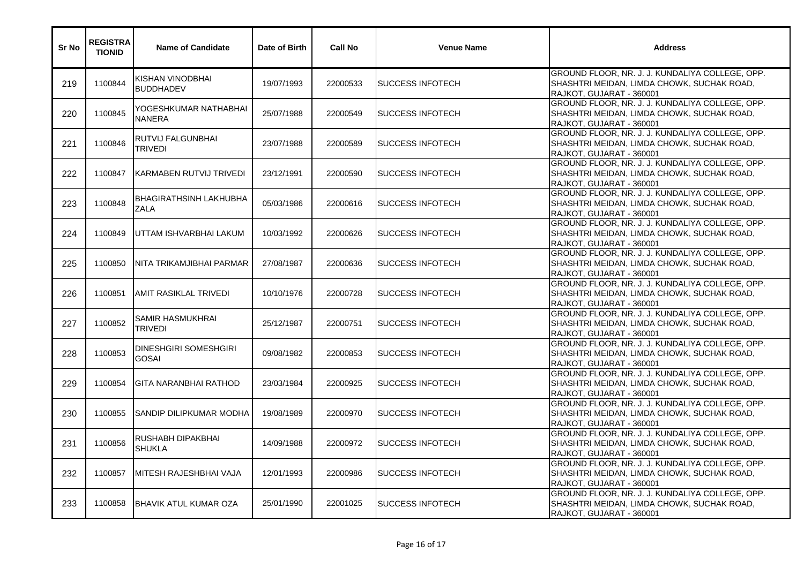| Sr No | <b>REGISTRA</b><br><b>TIONID</b> | <b>Name of Candidate</b>                     | Date of Birth | <b>Call No</b> | <b>Venue Name</b>         | <b>Address</b>                                                                                                            |
|-------|----------------------------------|----------------------------------------------|---------------|----------------|---------------------------|---------------------------------------------------------------------------------------------------------------------------|
| 219   | 1100844                          | KISHAN VINODBHAI<br><b>BUDDHADEV</b>         | 19/07/1993    | 22000533       | <b>SUCCESS INFOTECH</b>   | GROUND FLOOR, NR. J. J. KUNDALIYA COLLEGE, OPP.<br>SHASHTRI MEIDAN, LIMDA CHOWK, SUCHAK ROAD,<br>RAJKOT, GUJARAT - 360001 |
| 220   | 1100845                          | YOGESHKUMAR NATHABHAI<br><b>NANERA</b>       | 25/07/1988    | 22000549       | <b>SUCCESS INFOTECH</b>   | GROUND FLOOR, NR. J. J. KUNDALIYA COLLEGE, OPP.<br>SHASHTRI MEIDAN, LIMDA CHOWK, SUCHAK ROAD,<br>RAJKOT, GUJARAT - 360001 |
| 221   | 1100846                          | RUTVIJ FALGUNBHAI<br>TRIVEDI                 | 23/07/1988    | 22000589       | <b>I</b> SUCCESS INFOTECH | GROUND FLOOR, NR. J. J. KUNDALIYA COLLEGE, OPP.<br>SHASHTRI MEIDAN, LIMDA CHOWK, SUCHAK ROAD,<br>RAJKOT, GUJARAT - 360001 |
| 222   | 1100847                          | IKARMABEN RUTVIJ TRIVEDI                     | 23/12/1991    | 22000590       | <b>SUCCESS INFOTECH</b>   | GROUND FLOOR, NR. J. J. KUNDALIYA COLLEGE, OPP.<br>SHASHTRI MEIDAN, LIMDA CHOWK, SUCHAK ROAD,<br>RAJKOT, GUJARAT - 360001 |
| 223   | 1100848                          | <b>BHAGIRATHSINH LAKHUBHA</b><br><b>ZALA</b> | 05/03/1986    | 22000616       | <b>SUCCESS INFOTECH</b>   | GROUND FLOOR, NR. J. J. KUNDALIYA COLLEGE, OPP.<br>SHASHTRI MEIDAN, LIMDA CHOWK, SUCHAK ROAD,<br>RAJKOT, GUJARAT - 360001 |
| 224   | 1100849                          | UTTAM ISHVARBHAI LAKUM                       | 10/03/1992    | 22000626       | <b>SUCCESS INFOTECH</b>   | GROUND FLOOR, NR. J. J. KUNDALIYA COLLEGE, OPP.<br>SHASHTRI MEIDAN, LIMDA CHOWK, SUCHAK ROAD,<br>RAJKOT, GUJARAT - 360001 |
| 225   | 1100850                          | INITA TRIKAMJIBHAI PARMAR                    | 27/08/1987    | 22000636       | <b>I</b> SUCCESS INFOTECH | GROUND FLOOR, NR. J. J. KUNDALIYA COLLEGE, OPP.<br>SHASHTRI MEIDAN, LIMDA CHOWK, SUCHAK ROAD,<br>RAJKOT, GUJARAT - 360001 |
| 226   | 1100851                          | AMIT RASIKLAL TRIVEDI                        | 10/10/1976    | 22000728       | <b>SUCCESS INFOTECH</b>   | GROUND FLOOR, NR. J. J. KUNDALIYA COLLEGE, OPP.<br>SHASHTRI MEIDAN, LIMDA CHOWK, SUCHAK ROAD,<br>RAJKOT, GUJARAT - 360001 |
| 227   | 1100852                          | SAMIR HASMUKHRAI<br>TRIVEDI                  | 25/12/1987    | 22000751       | <b>SUCCESS INFOTECH</b>   | GROUND FLOOR, NR. J. J. KUNDALIYA COLLEGE, OPP.<br>SHASHTRI MEIDAN, LIMDA CHOWK, SUCHAK ROAD,<br>RAJKOT, GUJARAT - 360001 |
| 228   | 1100853                          | <b>DINESHGIRI SOMESHGIRI</b><br><b>GOSAI</b> | 09/08/1982    | 22000853       | <b>SUCCESS INFOTECH</b>   | GROUND FLOOR, NR. J. J. KUNDALIYA COLLEGE, OPP.<br>SHASHTRI MEIDAN, LIMDA CHOWK, SUCHAK ROAD,<br>RAJKOT, GUJARAT - 360001 |
| 229   | 1100854                          | GITA NARANBHAI RATHOD                        | 23/03/1984    | 22000925       | <b>SUCCESS INFOTECH</b>   | GROUND FLOOR, NR. J. J. KUNDALIYA COLLEGE, OPP.<br>SHASHTRI MEIDAN, LIMDA CHOWK, SUCHAK ROAD,<br>RAJKOT, GUJARAT - 360001 |
| 230   | 1100855                          | <b>SANDIP DILIPKUMAR MODHA</b>               | 19/08/1989    | 22000970       | <b>SUCCESS INFOTECH</b>   | GROUND FLOOR, NR. J. J. KUNDALIYA COLLEGE, OPP.<br>SHASHTRI MEIDAN, LIMDA CHOWK, SUCHAK ROAD,<br>RAJKOT, GUJARAT - 360001 |
| 231   | 1100856                          | RUSHABH DIPAKBHAI<br><b>SHUKLA</b>           | 14/09/1988    | 22000972       | <b>SUCCESS INFOTECH</b>   | GROUND FLOOR, NR. J. J. KUNDALIYA COLLEGE, OPP.<br>SHASHTRI MEIDAN, LIMDA CHOWK, SUCHAK ROAD,<br>RAJKOT, GUJARAT - 360001 |
| 232   | 1100857                          | MITESH RAJESHBHAI VAJA                       | 12/01/1993    | 22000986       | <b>SUCCESS INFOTECH</b>   | GROUND FLOOR, NR. J. J. KUNDALIYA COLLEGE, OPP.<br>SHASHTRI MEIDAN, LIMDA CHOWK, SUCHAK ROAD,<br>RAJKOT, GUJARAT - 360001 |
| 233   | 1100858                          | BHAVIK ATUL KUMAR OZA                        | 25/01/1990    | 22001025       | <b>SUCCESS INFOTECH</b>   | GROUND FLOOR, NR. J. J. KUNDALIYA COLLEGE, OPP.<br>SHASHTRI MEIDAN, LIMDA CHOWK, SUCHAK ROAD,<br>RAJKOT, GUJARAT - 360001 |